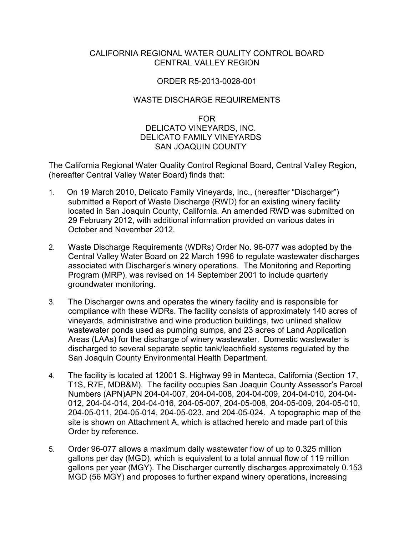## CALIFORNIA REGIONAL WATER QUALITY CONTROL BOARD CENTRAL VALLEY REGION

## ORDER R5-2013-0028-001

## WASTE DISCHARGE REQUIREMENTS

## FOR DELICATO VINEYARDS, INC. DELICATO FAMILY VINEYARDS SAN JOAQUIN COUNTY

The California Regional Water Quality Control Regional Board, Central Valley Region, (hereafter Central Valley Water Board) finds that:

- 1. On 19 March 2010, Delicato Family Vineyards, Inc., (hereafter "Discharger") submitted a Report of Waste Discharge (RWD) for an existing winery facility located in San Joaquin County, California. An amended RWD was submitted on 29 February 2012, with additional information provided on various dates in October and November 2012.
- 2. Waste Discharge Requirements (WDRs) Order No. 96-077 was adopted by the Central Valley Water Board on 22 March 1996 to regulate wastewater discharges associated with Discharger's winery operations. The Monitoring and Reporting Program (MRP), was revised on 14 September 2001 to include quarterly groundwater monitoring.
- 3. The Discharger owns and operates the winery facility and is responsible for compliance with these WDRs. The facility consists of approximately 140 acres of vineyards, administrative and wine production buildings, two unlined shallow wastewater ponds used as pumping sumps, and 23 acres of Land Application Areas (LAAs) for the discharge of winery wastewater. Domestic wastewater is discharged to several separate septic tank/leachfield systems regulated by the San Joaquin County Environmental Health Department.
- 4. The facility is located at 12001 S. Highway 99 in Manteca, California (Section 17, T1S, R7E, MDB&M). The facility occupies San Joaquin County Assessor's Parcel Numbers (APN)APN 204-04-007, 204-04-008, 204-04-009, 204-04-010, 204-04- 012, 204-04-014, 204-04-016, 204-05-007, 204-05-008, 204-05-009, 204-05-010, 204-05-011, 204-05-014, 204-05-023, and 204-05-024. A topographic map of the site is shown on Attachment A, which is attached hereto and made part of this Order by reference.
- 5. Order 96-077 allows a maximum daily wastewater flow of up to 0.325 million gallons per day (MGD), which is equivalent to a total annual flow of 119 million gallons per year (MGY). The Discharger currently discharges approximately 0.153 MGD (56 MGY) and proposes to further expand winery operations, increasing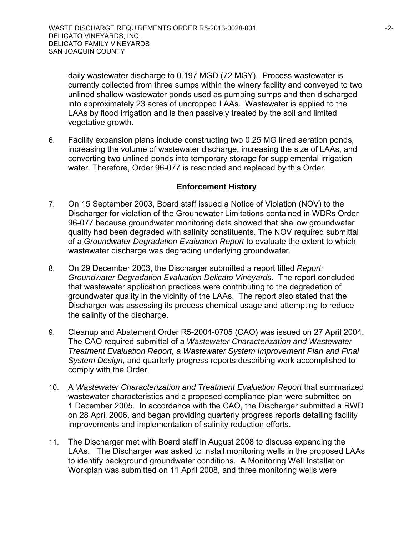daily wastewater discharge to 0.197 MGD (72 MGY). Process wastewater is currently collected from three sumps within the winery facility and conveyed to two unlined shallow wastewater ponds used as pumping sumps and then discharged into approximately 23 acres of uncropped LAAs. Wastewater is applied to the LAAs by flood irrigation and is then passively treated by the soil and limited vegetative growth.

6. Facility expansion plans include constructing two 0.25 MG lined aeration ponds, increasing the volume of wastewater discharge, increasing the size of LAAs, and converting two unlined ponds into temporary storage for supplemental irrigation water. Therefore, Order 96-077 is rescinded and replaced by this Order.

#### **Enforcement History**

- 7. On 15 September 2003, Board staff issued a Notice of Violation (NOV) to the Discharger for violation of the Groundwater Limitations contained in WDRs Order 96-077 because groundwater monitoring data showed that shallow groundwater quality had been degraded with salinity constituents. The NOV required submittal of a *Groundwater Degradation Evaluation Report* to evaluate the extent to which wastewater discharge was degrading underlying groundwater.
- 8. On 29 December 2003, the Discharger submitted a report titled *Report: Groundwater Degradation Evaluation Delicato Vineyards*. The report concluded that wastewater application practices were contributing to the degradation of groundwater quality in the vicinity of the LAAs. The report also stated that the Discharger was assessing its process chemical usage and attempting to reduce the salinity of the discharge.
- 9. Cleanup and Abatement Order R5-2004-0705 (CAO) was issued on 27 April 2004. The CAO required submittal of a *Wastewater Characterization and Wastewater Treatment Evaluation Report, a Wastewater System Improvement Plan and Final System Design*, and quarterly progress reports describing work accomplished to comply with the Order.
- 10. A *Wastewater Characterization and Treatment Evaluation Report* that summarized wastewater characteristics and a proposed compliance plan were submitted on 1 December 2005. In accordance with the CAO, the Discharger submitted a RWD on 28 April 2006, and began providing quarterly progress reports detailing facility improvements and implementation of salinity reduction efforts.
- 11. The Discharger met with Board staff in August 2008 to discuss expanding the LAAs. The Discharger was asked to install monitoring wells in the proposed LAAs to identify background groundwater conditions. A Monitoring Well Installation Workplan was submitted on 11 April 2008, and three monitoring wells were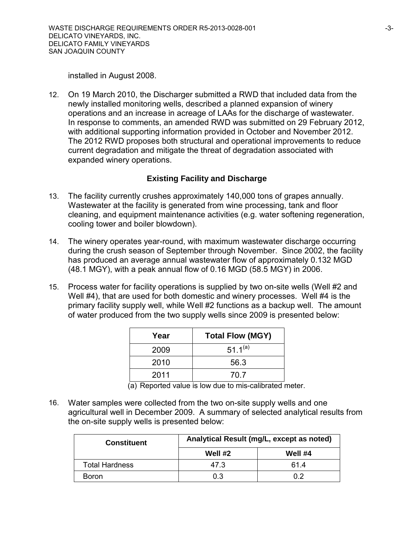installed in August 2008.

12. On 19 March 2010, the Discharger submitted a RWD that included data from the newly installed monitoring wells, described a planned expansion of winery operations and an increase in acreage of LAAs for the discharge of wastewater. In response to comments, an amended RWD was submitted on 29 February 2012, with additional supporting information provided in October and November 2012. The 2012 RWD proposes both structural and operational improvements to reduce current degradation and mitigate the threat of degradation associated with expanded winery operations.

## **Existing Facility and Discharge**

- 13. The facility currently crushes approximately 140,000 tons of grapes annually. Wastewater at the facility is generated from wine processing, tank and floor cleaning, and equipment maintenance activities (e.g. water softening regeneration, cooling tower and boiler blowdown).
- 14. The winery operates year-round, with maximum wastewater discharge occurring during the crush season of September through November. Since 2002, the facility has produced an average annual wastewater flow of approximately 0.132 MGD (48.1 MGY), with a peak annual flow of 0.16 MGD (58.5 MGY) in 2006.
- 15. Process water for facility operations is supplied by two on-site wells (Well #2 and Well #4), that are used for both domestic and winery processes. Well #4 is the primary facility supply well, while Well #2 functions as a backup well. The amount of water produced from the two supply wells since 2009 is presented below:

| Year | <b>Total Flow (MGY)</b> |
|------|-------------------------|
| 2009 | $51.1^{(a)}$            |
| 2010 | 56.3                    |
| 2011 | 70 7                    |

(a) Reported value is low due to mis-calibrated meter.

16. Water samples were collected from the two on-site supply wells and one agricultural well in December 2009. A summary of selected analytical results from the on-site supply wells is presented below:

| <b>Constituent</b>    | Analytical Result (mg/L, except as noted) |         |  |  |
|-----------------------|-------------------------------------------|---------|--|--|
|                       | Well #2                                   | Well #4 |  |  |
| <b>Total Hardness</b> | 47.3                                      | 614     |  |  |
| Boron                 | 0.3                                       | ስ ን     |  |  |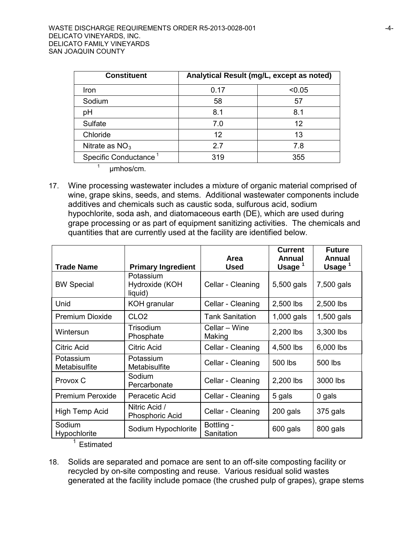| <b>Constituent</b>                | Analytical Result (mg/L, except as noted) |        |  |
|-----------------------------------|-------------------------------------------|--------|--|
| Iron                              | 0.17                                      | < 0.05 |  |
| Sodium                            | 58                                        | 57     |  |
| pH                                | 8.1                                       | 8.1    |  |
| <b>Sulfate</b>                    | 7.0                                       | 12     |  |
| Chloride                          | 12                                        | 13     |  |
| Nitrate as $NO3$                  | 2.7                                       | 7.8    |  |
| Specific Conductance <sup>1</sup> | 319                                       | 355    |  |

- $1$  umhos/cm.
- 17. Wine processing wastewater includes a mixture of organic material comprised of wine, grape skins, seeds, and stems. Additional wastewater components include additives and chemicals such as caustic soda, sulfurous acid, sodium hypochlorite, soda ash, and diatomaceous earth (DE), which are used during grape processing or as part of equipment sanitizing activities. The chemicals and quantities that are currently used at the facility are identified below.

|                            |                                        | Area                     | <b>Current</b><br><b>Annual</b> | <b>Future</b><br><b>Annual</b> |
|----------------------------|----------------------------------------|--------------------------|---------------------------------|--------------------------------|
| <b>Trade Name</b>          | <b>Primary Ingredient</b>              | <b>Used</b>              | Usage $1$                       | Usage $1$                      |
| <b>BW Special</b>          | Potassium<br>Hydroxide (KOH<br>liquid) | Cellar - Cleaning        | 5,500 gals                      | 7,500 gals                     |
| Unid                       | KOH granular                           | Cellar - Cleaning        | 2,500 lbs                       | 2,500 lbs                      |
| Premium Dioxide            | CLO <sub>2</sub>                       | <b>Tank Sanitation</b>   | 1,000 gals                      | 1,500 gals                     |
| Wintersun                  | Trisodium<br>Phosphate                 | Cellar - Wine<br>Making  | 2,200 lbs                       | 3,300 lbs                      |
| Citric Acid                | <b>Citric Acid</b>                     | Cellar - Cleaning        | 4,500 lbs                       | 6,000 lbs                      |
| Potassium<br>Metabisulfite | Potassium<br>Metabisulfite             | Cellar - Cleaning        | 500 lbs                         | 500 lbs                        |
| Provox C                   | Sodium<br>Percarbonate                 | Cellar - Cleaning        | 2,200 lbs                       | 3000 lbs                       |
| <b>Premium Peroxide</b>    | Peracetic Acid                         | Cellar - Cleaning        | 5 gals                          | 0 gals                         |
| High Temp Acid             | Nitric Acid /<br>Phosphoric Acid       | Cellar - Cleaning        | 200 gals                        | 375 gals                       |
| Sodium<br>Hypochlorite     | Sodium Hypochlorite                    | Bottling -<br>Sanitation | 600 gals                        | 800 gals                       |

- <sup>1</sup> Estimated
- 18. Solids are separated and pomace are sent to an off-site composting facility or recycled by on-site composting and reuse. Various residual solid wastes generated at the facility include pomace (the crushed pulp of grapes), grape stems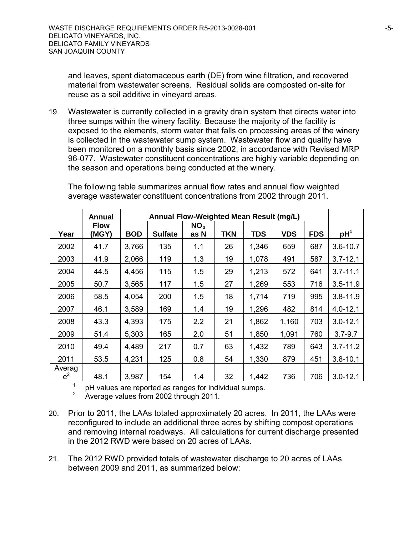and leaves, spent diatomaceous earth (DE) from wine filtration, and recovered material from wastewater screens. Residual solids are composted on-site for reuse as a soil additive in vineyard areas.

19. Wastewater is currently collected in a gravity drain system that directs water into three sumps within the winery facility. Because the majority of the facility is exposed to the elements, storm water that falls on processing areas of the winery is collected in the wastewater sump system. Wastewater flow and quality have been monitored on a monthly basis since 2002, in accordance with Revised MRP 96-077. Wastewater constituent concentrations are highly variable depending on the season and operations being conducted at the winery.

|                 | Annual               |            | Annual Flow-Weighted Mean Result (mg/L) |                         |            |            |            |            |                 |
|-----------------|----------------------|------------|-----------------------------------------|-------------------------|------------|------------|------------|------------|-----------------|
| Year            | <b>Flow</b><br>(MGY) | <b>BOD</b> | <b>Sulfate</b>                          | NO <sub>3</sub><br>as N | <b>TKN</b> | <b>TDS</b> | <b>VDS</b> | <b>FDS</b> | pH <sup>1</sup> |
| 2002            | 41.7                 | 3,766      | 135                                     | 1.1                     | 26         | 1,346      | 659        | 687        | $3.6 - 10.7$    |
| 2003            | 41.9                 | 2,066      | 119                                     | 1.3                     | 19         | 1,078      | 491        | 587        | $3.7 - 12.1$    |
| 2004            | 44.5                 | 4,456      | 115                                     | 1.5                     | 29         | 1,213      | 572        | 641        | $3.7 - 11.1$    |
| 2005            | 50.7                 | 3,565      | 117                                     | 1.5                     | 27         | 1,269      | 553        | 716        | $3.5 - 11.9$    |
| 2006            | 58.5                 | 4,054      | 200                                     | 1.5                     | 18         | 1,714      | 719        | 995        | $3.8 - 11.9$    |
| 2007            | 46.1                 | 3,589      | 169                                     | 1.4                     | 19         | 1,296      | 482        | 814        | $4.0 - 12.1$    |
| 2008            | 43.3                 | 4,393      | 175                                     | 2.2                     | 21         | 1,862      | 1,160      | 703        | $3.0 - 12.1$    |
| 2009            | 51.4                 | 5,303      | 165                                     | 2.0                     | 51         | 1,850      | 1,091      | 760        | $3.7 - 9.7$     |
| 2010            | 49.4                 | 4,489      | 217                                     | 0.7                     | 63         | 1,432      | 789        | 643        | $3.7 - 11.2$    |
| 2011            | 53.5                 | 4,231      | 125                                     | 0.8                     | 54         | 1,330      | 879        | 451        | $3.8 - 10.1$    |
| Averag<br>$e^2$ | 48.1                 | 3,987      | 154                                     | 1.4                     | 32         | 1,442      | 736        | 706        | $3.0 - 12.1$    |

The following table summarizes annual flow rates and annual flow weighted average wastewater constituent concentrations from 2002 through 2011.

<sup>1</sup> pH values are reported as ranges for individual sumps.<br><sup>2</sup> Average values from 2002 through 2011.

- 20. Prior to 2011, the LAAs totaled approximately 20 acres. In 2011, the LAAs were reconfigured to include an additional three acres by shifting compost operations and removing internal roadways. All calculations for current discharge presented in the 2012 RWD were based on 20 acres of LAAs.
- 21. The 2012 RWD provided totals of wastewater discharge to 20 acres of LAAs between 2009 and 2011, as summarized below: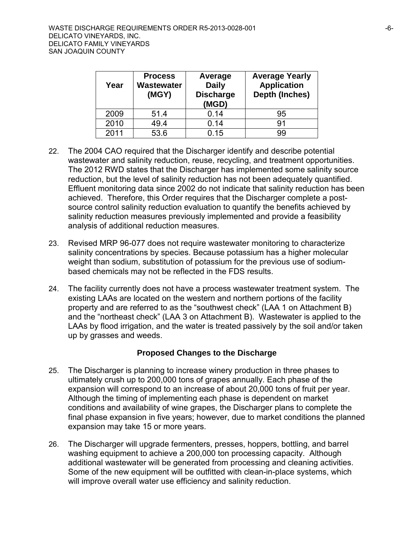| Year | <b>Process</b><br>Wastewater<br>(MGY) | Average<br><b>Daily</b><br><b>Discharge</b><br>(MGD) | <b>Average Yearly</b><br><b>Application</b><br><b>Depth (Inches)</b> |
|------|---------------------------------------|------------------------------------------------------|----------------------------------------------------------------------|
| 2009 | 51.4                                  | 0.14                                                 | 95                                                                   |
| 2010 | 49.4                                  | 0.14                                                 | 91                                                                   |
| 2011 | 53.6                                  | 0.15                                                 | 99                                                                   |

- 22. The 2004 CAO required that the Discharger identify and describe potential wastewater and salinity reduction, reuse, recycling, and treatment opportunities. The 2012 RWD states that the Discharger has implemented some salinity source reduction, but the level of salinity reduction has not been adequately quantified. Effluent monitoring data since 2002 do not indicate that salinity reduction has been achieved. Therefore, this Order requires that the Discharger complete a postsource control salinity reduction evaluation to quantify the benefits achieved by salinity reduction measures previously implemented and provide a feasibility analysis of additional reduction measures.
- 23. Revised MRP 96-077 does not require wastewater monitoring to characterize salinity concentrations by species. Because potassium has a higher molecular weight than sodium, substitution of potassium for the previous use of sodiumbased chemicals may not be reflected in the FDS results.
- 24. The facility currently does not have a process wastewater treatment system. The existing LAAs are located on the western and northern portions of the facility property and are referred to as the "southwest check" (LAA 1 on Attachment B) and the "northeast check" (LAA 3 on Attachment B). Wastewater is applied to the LAAs by flood irrigation, and the water is treated passively by the soil and/or taken up by grasses and weeds.

## **Proposed Changes to the Discharge**

- 25. The Discharger is planning to increase winery production in three phases to ultimately crush up to 200,000 tons of grapes annually. Each phase of the expansion will correspond to an increase of about 20,000 tons of fruit per year. Although the timing of implementing each phase is dependent on market conditions and availability of wine grapes, the Discharger plans to complete the final phase expansion in five years; however, due to market conditions the planned expansion may take 15 or more years.
- 26. The Discharger will upgrade fermenters, presses, hoppers, bottling, and barrel washing equipment to achieve a 200,000 ton processing capacity. Although additional wastewater will be generated from processing and cleaning activities. Some of the new equipment will be outfitted with clean-in-place systems, which will improve overall water use efficiency and salinity reduction.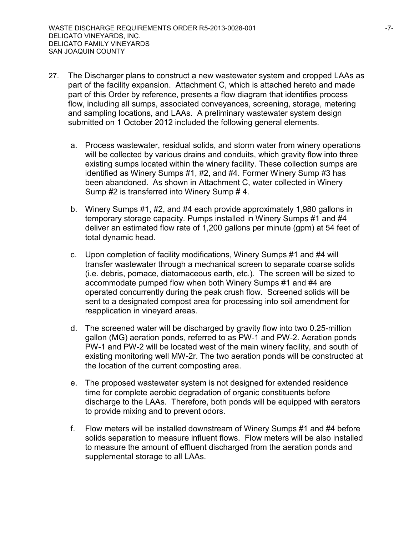- 27. The Discharger plans to construct a new wastewater system and cropped LAAs as part of the facility expansion. Attachment C, which is attached hereto and made part of this Order by reference, presents a flow diagram that identifies process flow, including all sumps, associated conveyances, screening, storage, metering and sampling locations, and LAAs. A preliminary wastewater system design submitted on 1 October 2012 included the following general elements.
	- a. Process wastewater, residual solids, and storm water from winery operations will be collected by various drains and conduits, which gravity flow into three existing sumps located within the winery facility. These collection sumps are identified as Winery Sumps #1, #2, and #4. Former Winery Sump #3 has been abandoned. As shown in Attachment C, water collected in Winery Sump #2 is transferred into Winery Sump # 4.
	- b. Winery Sumps #1, #2, and #4 each provide approximately 1,980 gallons in temporary storage capacity. Pumps installed in Winery Sumps #1 and #4 deliver an estimated flow rate of 1,200 gallons per minute (gpm) at 54 feet of total dynamic head.
	- c. Upon completion of facility modifications, Winery Sumps #1 and #4 will transfer wastewater through a mechanical screen to separate coarse solids (i.e. debris, pomace, diatomaceous earth, etc.). The screen will be sized to accommodate pumped flow when both Winery Sumps #1 and #4 are operated concurrently during the peak crush flow. Screened solids will be sent to a designated compost area for processing into soil amendment for reapplication in vineyard areas.
	- d. The screened water will be discharged by gravity flow into two 0.25-million gallon (MG) aeration ponds, referred to as PW-1 and PW-2. Aeration ponds PW-1 and PW-2 will be located west of the main winery facility, and south of existing monitoring well MW-2r. The two aeration ponds will be constructed at the location of the current composting area.
	- e. The proposed wastewater system is not designed for extended residence time for complete aerobic degradation of organic constituents before discharge to the LAAs. Therefore, both ponds will be equipped with aerators to provide mixing and to prevent odors.
	- f. Flow meters will be installed downstream of Winery Sumps #1 and #4 before solids separation to measure influent flows. Flow meters will be also installed to measure the amount of effluent discharged from the aeration ponds and supplemental storage to all LAAs.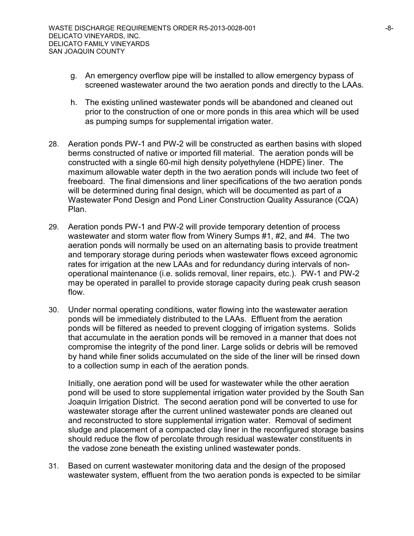- g. An emergency overflow pipe will be installed to allow emergency bypass of screened wastewater around the two aeration ponds and directly to the LAAs.
- h. The existing unlined wastewater ponds will be abandoned and cleaned out prior to the construction of one or more ponds in this area which will be used as pumping sumps for supplemental irrigation water.
- 28. Aeration ponds PW-1 and PW-2 will be constructed as earthen basins with sloped berms constructed of native or imported fill material. The aeration ponds will be constructed with a single 60-mil high density polyethylene (HDPE) liner. The maximum allowable water depth in the two aeration ponds will include two feet of freeboard. The final dimensions and liner specifications of the two aeration ponds will be determined during final design, which will be documented as part of a Wastewater Pond Design and Pond Liner Construction Quality Assurance (CQA) Plan.
- 29. Aeration ponds PW-1 and PW-2 will provide temporary detention of process wastewater and storm water flow from Winery Sumps #1, #2, and #4. The two aeration ponds will normally be used on an alternating basis to provide treatment and temporary storage during periods when wastewater flows exceed agronomic rates for irrigation at the new LAAs and for redundancy during intervals of nonoperational maintenance (i.e. solids removal, liner repairs, etc.). PW-1 and PW-2 may be operated in parallel to provide storage capacity during peak crush season flow.
- 30. Under normal operating conditions, water flowing into the wastewater aeration ponds will be immediately distributed to the LAAs. Effluent from the aeration ponds will be filtered as needed to prevent clogging of irrigation systems. Solids that accumulate in the aeration ponds will be removed in a manner that does not compromise the integrity of the pond liner. Large solids or debris will be removed by hand while finer solids accumulated on the side of the liner will be rinsed down to a collection sump in each of the aeration ponds.

Initially, one aeration pond will be used for wastewater while the other aeration pond will be used to store supplemental irrigation water provided by the South San Joaquin Irrigation District. The second aeration pond will be converted to use for wastewater storage after the current unlined wastewater ponds are cleaned out and reconstructed to store supplemental irrigation water. Removal of sediment sludge and placement of a compacted clay liner in the reconfigured storage basins should reduce the flow of percolate through residual wastewater constituents in the vadose zone beneath the existing unlined wastewater ponds.

31. Based on current wastewater monitoring data and the design of the proposed wastewater system, effluent from the two aeration ponds is expected to be similar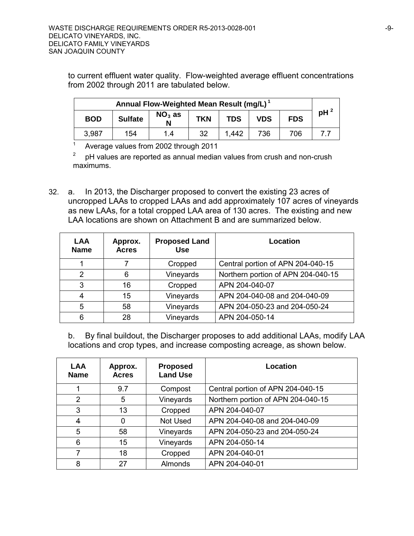to current effluent water quality. Flow-weighted average effluent concentrations from 2002 through 2011 are tabulated below.

| Annual Flow-Weighted Mean Result (mg/L) <sup>1</sup> |                |               |            |            |            |            |        |
|------------------------------------------------------|----------------|---------------|------------|------------|------------|------------|--------|
| <b>BOD</b>                                           | <b>Sulfate</b> | $NO3$ as<br>N | <b>TKN</b> | <b>TDS</b> | <b>VDS</b> | <b>FDS</b> | $pH^2$ |
| 3.987                                                | 154            | 1.4           | 32         | 1.442      | 736        | 706        |        |

<sup>1</sup> Average values from 2002 through 2011

 $2^{\circ}$  pH values are reported as annual median values from crush and non-crush maximums.

32. a. In 2013, the Discharger proposed to convert the existing 23 acres of uncropped LAAs to cropped LAAs and add approximately 107 acres of vineyards as new LAAs, for a total cropped LAA area of 130 acres. The existing and new LAA locations are shown on Attachment B and are summarized below.

| <b>LAA</b><br><b>Name</b> | Approx.<br><b>Acres</b> | <b>Proposed Land</b><br><b>Use</b> | Location                           |
|---------------------------|-------------------------|------------------------------------|------------------------------------|
|                           |                         | Cropped                            | Central portion of APN 204-040-15  |
| $\mathcal{P}$             | 6                       | Vineyards                          | Northern portion of APN 204-040-15 |
| 3                         | 16                      | Cropped                            | APN 204-040-07                     |
| 4                         | 15                      | Vineyards                          | APN 204-040-08 and 204-040-09      |
| 5                         | 58                      | Vineyards                          | APN 204-050-23 and 204-050-24      |
| 6                         | 28                      | Vineyards                          | APN 204-050-14                     |

b. By final buildout, the Discharger proposes to add additional LAAs, modify LAA locations and crop types, and increase composting acreage, as shown below.

| <b>LAA</b><br><b>Name</b> | Approx.<br><b>Acres</b> | <b>Proposed</b><br><b>Land Use</b> | Location                           |
|---------------------------|-------------------------|------------------------------------|------------------------------------|
|                           | 9.7                     | Compost                            | Central portion of APN 204-040-15  |
| 2                         | 5                       | Vineyards                          | Northern portion of APN 204-040-15 |
| 3                         | 13                      | Cropped                            | APN 204-040-07                     |
| 4                         | 0                       | Not Used                           | APN 204-040-08 and 204-040-09      |
| 5                         | 58                      | Vineyards                          | APN 204-050-23 and 204-050-24      |
| 6                         | 15                      | Vineyards                          | APN 204-050-14                     |
|                           | 18                      | Cropped                            | APN 204-040-01                     |
| 8                         | 27                      | <b>Almonds</b>                     | APN 204-040-01                     |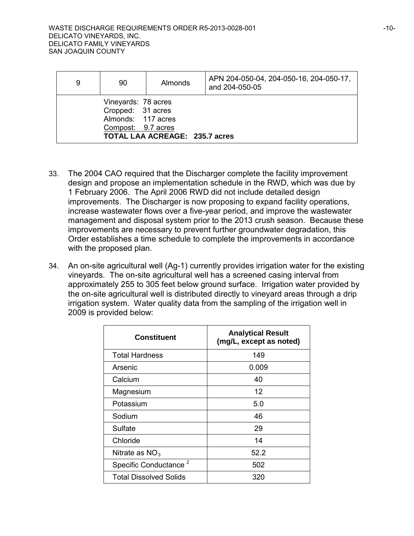| 9 | 90                                                                                   | Almonds                        | APN 204-050-04, 204-050-16, 204-050-17,<br>and 204-050-05 |
|---|--------------------------------------------------------------------------------------|--------------------------------|-----------------------------------------------------------|
|   | Vineyards: 78 acres<br>Cropped: 31 acres<br>Almonds: 117 acres<br>Compost: 9.7 acres | TOTAL LAA ACREAGE: 235.7 acres |                                                           |

- 33. The 2004 CAO required that the Discharger complete the facility improvement design and propose an implementation schedule in the RWD, which was due by 1 February 2006. The April 2006 RWD did not include detailed design improvements. The Discharger is now proposing to expand facility operations, increase wastewater flows over a five-year period, and improve the wastewater management and disposal system prior to the 2013 crush season. Because these improvements are necessary to prevent further groundwater degradation, this Order establishes a time schedule to complete the improvements in accordance with the proposed plan.
- 34. An on-site agricultural well (Ag-1) currently provides irrigation water for the existing vineyards. The on-site agricultural well has a screened casing interval from approximately 255 to 305 feet below ground surface. Irrigation water provided by the on-site agricultural well is distributed directly to vineyard areas through a drip irrigation system. Water quality data from the sampling of the irrigation well in 2009 is provided below:

| <b>Constituent</b>                | <b>Analytical Result</b><br>(mg/L, except as noted) |
|-----------------------------------|-----------------------------------------------------|
| <b>Total Hardness</b>             | 149                                                 |
| Arsenic                           | 0.009                                               |
| Calcium                           | 40                                                  |
| Magnesium                         | 12                                                  |
| Potassium                         | 5.0                                                 |
| Sodium                            | 46                                                  |
| Sulfate                           | 29                                                  |
| Chloride                          | 14                                                  |
| Nitrate as $NO3$                  | 52.2                                                |
| Specific Conductance <sup>2</sup> | 502                                                 |
| <b>Total Dissolved Solids</b>     | 320                                                 |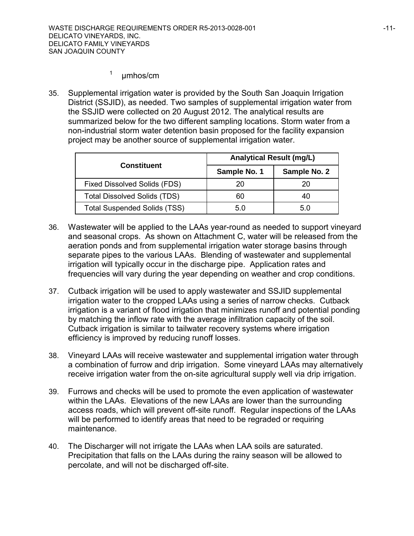# $1$  umhos/cm

35. Supplemental irrigation water is provided by the South San Joaquin Irrigation District (SSJID), as needed. Two samples of supplemental irrigation water from the SSJID were collected on 20 August 2012. The analytical results are summarized below for the two different sampling locations. Storm water from a non-industrial storm water detention basin proposed for the facility expansion project may be another source of supplemental irrigation water.

|                                     | <b>Analytical Result (mg/L)</b> |              |  |  |
|-------------------------------------|---------------------------------|--------------|--|--|
| <b>Constituent</b>                  | Sample No. 1                    | Sample No. 2 |  |  |
| <b>Fixed Dissolved Solids (FDS)</b> | 20                              | 20           |  |  |
| <b>Total Dissolved Solids (TDS)</b> | 60                              | 40           |  |  |
| <b>Total Suspended Solids (TSS)</b> | 50                              | 50           |  |  |

- 36. Wastewater will be applied to the LAAs year-round as needed to support vineyard and seasonal crops. As shown on Attachment C, water will be released from the aeration ponds and from supplemental irrigation water storage basins through separate pipes to the various LAAs. Blending of wastewater and supplemental irrigation will typically occur in the discharge pipe. Application rates and frequencies will vary during the year depending on weather and crop conditions.
- 37. Cutback irrigation will be used to apply wastewater and SSJID supplemental irrigation water to the cropped LAAs using a series of narrow checks. Cutback irrigation is a variant of flood irrigation that minimizes runoff and potential ponding by matching the inflow rate with the average infiltration capacity of the soil. Cutback irrigation is similar to tailwater recovery systems where irrigation efficiency is improved by reducing runoff losses.
- 38. Vineyard LAAs will receive wastewater and supplemental irrigation water through a combination of furrow and drip irrigation. Some vineyard LAAs may alternatively receive irrigation water from the on-site agricultural supply well via drip irrigation.
- 39. Furrows and checks will be used to promote the even application of wastewater within the LAAs. Elevations of the new LAAs are lower than the surrounding access roads, which will prevent off-site runoff. Regular inspections of the LAAs will be performed to identify areas that need to be regraded or requiring maintenance.
- 40. The Discharger will not irrigate the LAAs when LAA soils are saturated. Precipitation that falls on the LAAs during the rainy season will be allowed to percolate, and will not be discharged off-site.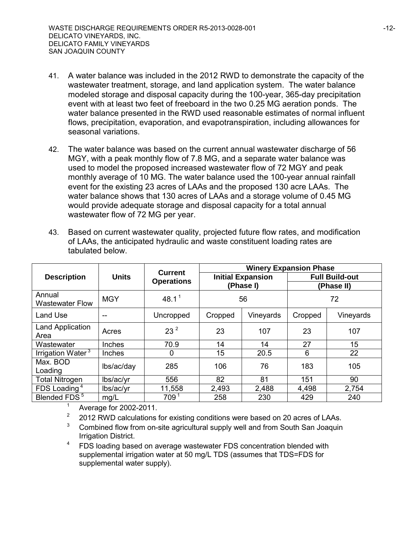- 41. A water balance was included in the 2012 RWD to demonstrate the capacity of the wastewater treatment, storage, and land application system. The water balance modeled storage and disposal capacity during the 100-year, 365-day precipitation event with at least two feet of freeboard in the two 0.25 MG aeration ponds. The water balance presented in the RWD used reasonable estimates of normal influent flows, precipitation, evaporation, and evapotranspiration, including allowances for seasonal variations.
- 42. The water balance was based on the current annual wastewater discharge of 56 MGY, with a peak monthly flow of 7.8 MG, and a separate water balance was used to model the proposed increased wastewater flow of 72 MGY and peak monthly average of 10 MG. The water balance used the 100-year annual rainfall event for the existing 23 acres of LAAs and the proposed 130 acre LAAs. The water balance shows that 130 acres of LAAs and a storage volume of 0.45 MG would provide adequate storage and disposal capacity for a total annual wastewater flow of 72 MG per year.
- 43. Based on current wastewater quality, projected future flow rates, and modification of LAAs, the anticipated hydraulic and waste constituent loading rates are tabulated below.

|                                  |              | <b>Current</b>    | <b>Winery Expansion Phase</b> |                          |                       |           |  |
|----------------------------------|--------------|-------------------|-------------------------------|--------------------------|-----------------------|-----------|--|
| <b>Description</b>               | <b>Units</b> | <b>Operations</b> |                               | <b>Initial Expansion</b> | <b>Full Build-out</b> |           |  |
|                                  |              |                   |                               | (Phase I)                | (Phase II)            |           |  |
| Annual<br><b>Wastewater Flow</b> | <b>MGY</b>   | 48.1 <sup>1</sup> | 56                            |                          | 72                    |           |  |
| <b>Land Use</b>                  | --           | Uncropped         | Cropped                       | Vineyards                | Cropped               | Vineyards |  |
| <b>Land Application</b><br>Area  | Acres        | 23 <sup>2</sup>   | 23                            | 107                      | 23                    | 107       |  |
| Wastewater                       | Inches       | 70.9              | 14                            | 14                       | 27                    | 15        |  |
| Irrigation Water <sup>3</sup>    | Inches       | 0                 | 15                            | 20.5                     | 6                     | 22        |  |
| Max. BOD                         | lbs/ac/day   | 285               | 106                           | 76                       | 183                   | 105       |  |
| Loading                          |              |                   |                               |                          |                       |           |  |
| <b>Total Nitrogen</b>            | lbs/ac/yr    | 556               | 82                            | 81                       | 151                   | 90        |  |
| FDS Loading <sup>4</sup>         | lbs/ac/yr    | 11,558            | 2,493                         | 2,488                    | 4,498                 | 2,754     |  |
| Blended FDS <sup>5</sup>         | mg/L         | 709 <sup>1</sup>  | 258                           | 230                      | 429                   | 240       |  |

 $1$  Average for 2002-2011.

- $2^2$  2012 RWD calculations for existing conditions were based on 20 acres of LAAs.
- <sup>3</sup> Combined flow from on-site agricultural supply well and from South San Joaquin Irrigation District.
- <sup>4</sup> FDS loading based on average wastewater FDS concentration blended with supplemental irrigation water at 50 mg/L TDS (assumes that TDS=FDS for supplemental water supply).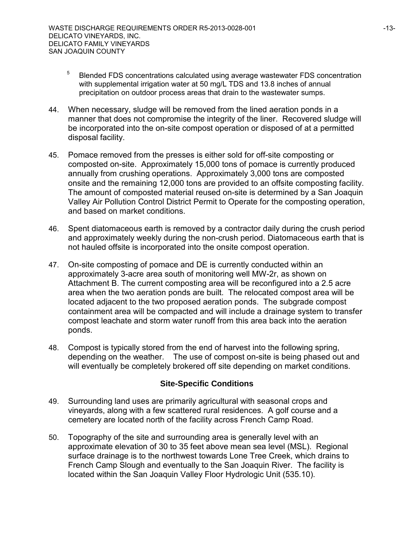- <sup>5</sup> Blended FDS concentrations calculated using average wastewater FDS concentration with supplemental irrigation water at 50 mg/L TDS and 13.8 inches of annual precipitation on outdoor process areas that drain to the wastewater sumps.
- 44. When necessary, sludge will be removed from the lined aeration ponds in a manner that does not compromise the integrity of the liner. Recovered sludge will be incorporated into the on-site compost operation or disposed of at a permitted disposal facility.
- 45. Pomace removed from the presses is either sold for off-site composting or composted on-site. Approximately 15,000 tons of pomace is currently produced annually from crushing operations. Approximately 3,000 tons are composted onsite and the remaining 12,000 tons are provided to an offsite composting facility. The amount of composted material reused on-site is determined by a San Joaquin Valley Air Pollution Control District Permit to Operate for the composting operation, and based on market conditions.
- 46. Spent diatomaceous earth is removed by a contractor daily during the crush period and approximately weekly during the non-crush period. Diatomaceous earth that is not hauled offsite is incorporated into the onsite compost operation.
- 47. On-site composting of pomace and DE is currently conducted within an approximately 3-acre area south of monitoring well MW-2r, as shown on Attachment B. The current composting area will be reconfigured into a 2.5 acre area when the two aeration ponds are built. The relocated compost area will be located adjacent to the two proposed aeration ponds. The subgrade compost containment area will be compacted and will include a drainage system to transfer compost leachate and storm water runoff from this area back into the aeration ponds.
- 48. Compost is typically stored from the end of harvest into the following spring, depending on the weather. The use of compost on-site is being phased out and will eventually be completely brokered off site depending on market conditions.

## **Site-Specific Conditions**

- 49. Surrounding land uses are primarily agricultural with seasonal crops and vineyards, along with a few scattered rural residences. A golf course and a cemetery are located north of the facility across French Camp Road.
- 50. Topography of the site and surrounding area is generally level with an approximate elevation of 30 to 35 feet above mean sea level (MSL). Regional surface drainage is to the northwest towards Lone Tree Creek, which drains to French Camp Slough and eventually to the San Joaquin River. The facility is located within the San Joaquin Valley Floor Hydrologic Unit (535.10).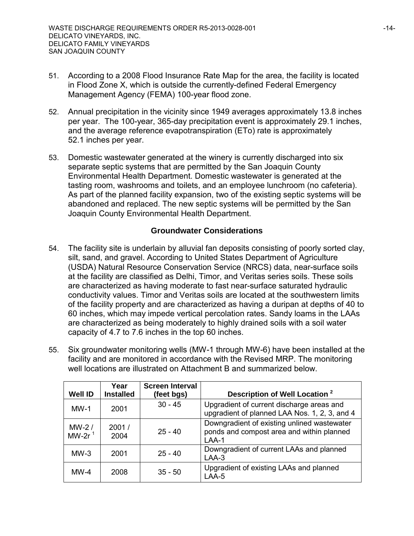- 51. According to a 2008 Flood Insurance Rate Map for the area, the facility is located in Flood Zone X, which is outside the currently-defined Federal Emergency Management Agency (FEMA) 100-year flood zone.
- 52. Annual precipitation in the vicinity since 1949 averages approximately 13.8 inches per year. The 100-year, 365-day precipitation event is approximately 29.1 inches, and the average reference evapotranspiration (ETo) rate is approximately 52.1 inches per year.
- 53. Domestic wastewater generated at the winery is currently discharged into six separate septic systems that are permitted by the San Joaquin County Environmental Health Department. Domestic wastewater is generated at the tasting room, washrooms and toilets, and an employee lunchroom (no cafeteria). As part of the planned facility expansion, two of the existing septic systems will be abandoned and replaced. The new septic systems will be permitted by the San Joaquin County Environmental Health Department.

## **Groundwater Considerations**

- 54. The facility site is underlain by alluvial fan deposits consisting of poorly sorted clay, silt, sand, and gravel. According to United States Department of Agriculture (USDA) Natural Resource Conservation Service (NRCS) data, near-surface soils at the facility are classified as Delhi, Timor, and Veritas series soils. These soils are characterized as having moderate to fast near-surface saturated hydraulic conductivity values. Timor and Veritas soils are located at the southwestern limits of the facility property and are characterized as having a duripan at depths of 40 to 60 inches, which may impede vertical percolation rates. Sandy loams in the LAAs are characterized as being moderately to highly drained soils with a soil water capacity of 4.7 to 7.6 inches in the top 60 inches.
- 55. Six groundwater monitoring wells (MW-1 through MW-6) have been installed at the facility and are monitored in accordance with the Revised MRP. The monitoring well locations are illustrated on Attachment B and summarized below.

| <b>Well ID</b>        | Year<br><b>Installed</b> | <b>Screen Interval</b><br>(feet bgs) | Description of Well Location <sup>2</sup>                                                           |
|-----------------------|--------------------------|--------------------------------------|-----------------------------------------------------------------------------------------------------|
| $MW-1$                | 2001                     | $30 - 45$                            | Upgradient of current discharge areas and<br>upgradient of planned LAA Nos. 1, 2, 3, and 4          |
| MW-2 $/$<br>MW-2 $r1$ | 2001/<br>2004            | $25 - 40$                            | Downgradient of existing unlined wastewater<br>ponds and compost area and within planned<br>$LAA-1$ |
| $MW-3$                | 2001                     | $25 - 40$                            | Downgradient of current LAAs and planned<br>$LAA-3$                                                 |
| $MW-4$                | 2008                     | $35 - 50$                            | Upgradient of existing LAAs and planned<br>LAA-5                                                    |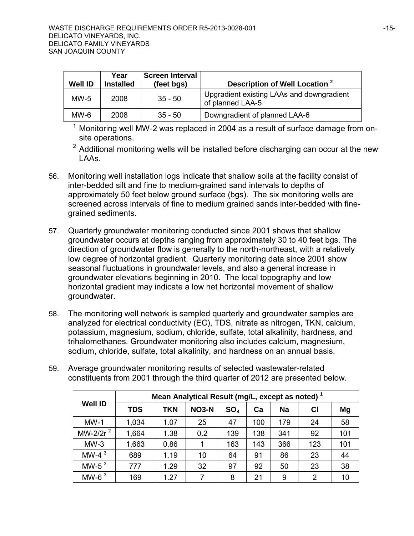| <b>Well ID</b> | Year<br>Installed | <b>Screen Interval</b><br>(feet bgs) | Description of Well Location <sup>2</sup>                     |
|----------------|-------------------|--------------------------------------|---------------------------------------------------------------|
| $MW-5$         | 2008              | $35 - 50$                            | Upgradient existing LAAs and downgradient<br>of planned LAA-5 |
| $MW-6$         | 2008              | $35 - 50$                            | Downgradient of planned LAA-6                                 |

 $1$  Monitoring well MW-2 was replaced in 2004 as a result of surface damage from onsite operations.

 $2$  Additional monitoring wells will be installed before discharging can occur at the new LAAs.

- 56. Monitoring well installation logs indicate that shallow soils at the facility consist of inter-bedded silt and fine to medium-grained sand intervals to depths of approximately 50 feet below ground surface (bgs). The six monitoring wells are screened across intervals of fine to medium grained sands inter-bedded with finegrained sediments.
- 57. Quarterly groundwater monitoring conducted since 2001 shows that shallow groundwater occurs at depths ranging from approximately 30 to 40 feet bgs. The direction of groundwater flow is generally to the north-northeast, with a relatively low degree of horizontal gradient. Quarterly monitoring data since 2001 show seasonal fluctuations in groundwater levels, and also a general increase in groundwater elevations beginning in 2010. The local topography and low horizontal gradient may indicate a low net horizontal movement of shallow groundwater.
- 58. The monitoring well network is sampled quarterly and groundwater samples are analyzed for electrical conductivity (EC), TDS, nitrate as nitrogen, TKN, calcium, potassium, magnesium, sodium, chloride, sulfate, total alkalinity, hardness, and trihalomethanes. Groundwater monitoring also includes calcium, magnesium, sodium, chloride, sulfate, total alkalinity, and hardness on an annual basis.

| constituents from 2001 through the third quarter of 2012 are presented below. |            |                                                             |              |                 |     |     |                |     |
|-------------------------------------------------------------------------------|------------|-------------------------------------------------------------|--------------|-----------------|-----|-----|----------------|-----|
|                                                                               |            | Mean Analytical Result (mg/L, except as noted) <sup>1</sup> |              |                 |     |     |                |     |
| <b>Well ID</b>                                                                | <b>TDS</b> | <b>TKN</b>                                                  | <b>NO3-N</b> | SO <sub>4</sub> | Ca  | Na  | <b>CI</b>      | Mg  |
| $MW-1$                                                                        | 1,034      | 1.07                                                        | 25           | 47              | 100 | 179 | 24             | 58  |
| MW-2/2r <sup>2</sup>                                                          | 1,664      | 1.38                                                        | 0.2          | 139             | 138 | 341 | 92             | 101 |
| $MW-3$                                                                        | 1,663      | 0.86                                                        |              | 163             | 143 | 366 | 123            | 101 |
| MW-4 $3$                                                                      | 689        | 1.19                                                        | 10           | 64              | 91  | 86  | 23             | 44  |
| MW-5 $3$                                                                      | 777        | 1.29                                                        | 32           | 97              | 92  | 50  | 23             | 38  |
| MW-6 $3$                                                                      | 169        | 1.27                                                        | 7            | 8               | 21  | 9   | $\overline{2}$ | 10  |

59. Average groundwater monitoring results of selected wastewater-related<br>constituents from 2004 through the third quarter of 2012 are presented to constituents from 2001 through the third quarter of 2012 are presented below.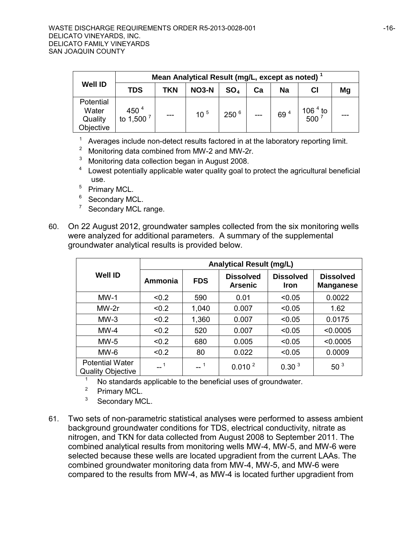|                                            | Mean Analytical Result (mg/L, except as noted) |            |                 |                 |     |                 |                                                             |    |
|--------------------------------------------|------------------------------------------------|------------|-----------------|-----------------|-----|-----------------|-------------------------------------------------------------|----|
| <b>Well ID</b>                             | <b>TDS</b>                                     | <b>TKN</b> | <b>NO3-N</b>    | SO <sub>4</sub> | Сa  | <b>Na</b>       | CI                                                          | Mg |
| Potential<br>Water<br>Quality<br>Objective | 450 $4$<br>to 1,500 $^7$                       |            | 10 <sup>5</sup> | $250^{6}$       | --- | 69 <sup>4</sup> | $\begin{array}{c}\n106^4 \text{ to } \\ 500^7\n\end{array}$ |    |

<sup>1</sup> Averages include non-detect results factored in at the laboratory reporting limit.<br><sup>2</sup> Monitoring data combined from MW-2 and MW-2r.

- <sup>3</sup> Monitoring data collection began in August 2008.<br><sup>4</sup> Lowest potentially applicable water quality goal to protect the agricultural beneficial use.
- <sup>5</sup> Primary MCL.
- <sup>6</sup> Secondary MCL.
- <sup>7</sup> Secondary MCL range.
- 60. On 22 August 2012, groundwater samples collected from the six monitoring wells were analyzed for additional parameters. A summary of the supplemental groundwater analytical results is provided below.

|                                                    | <b>Analytical Result (mg/L)</b> |            |                                    |                                 |                                      |  |  |
|----------------------------------------------------|---------------------------------|------------|------------------------------------|---------------------------------|--------------------------------------|--|--|
| <b>Well ID</b>                                     | Ammonia                         | <b>FDS</b> | <b>Dissolved</b><br><b>Arsenic</b> | <b>Dissolved</b><br><b>Iron</b> | <b>Dissolved</b><br><b>Manganese</b> |  |  |
| $MW-1$                                             | < 0.2                           | 590        | 0.01                               | < 0.05                          | 0.0022                               |  |  |
| MW-2r                                              | < 0.2                           | 1,040      | 0.007                              | < 0.05                          | 1.62                                 |  |  |
| $MW-3$                                             | < 0.2                           | 1,360      | 0.007                              | < 0.05                          | 0.0175                               |  |  |
| $MW-4$                                             | < 0.2                           | 520        | 0.007                              | < 0.05                          | < 0.0005                             |  |  |
| $MW-5$                                             | < 0.2                           | 680        | 0.005                              | < 0.05                          | < 0.0005                             |  |  |
| $MW-6$                                             | < 0.2                           | 80         | 0.022                              | < 0.05                          | 0.0009                               |  |  |
| <b>Potential Water</b><br><b>Quality Objective</b> |                                 |            | 0.010 <sup>2</sup>                 | 0.30 <sup>3</sup>               | 50 <sup>3</sup>                      |  |  |

<sup>1</sup> No standards applicable to the beneficial uses of groundwater.<br><sup>2</sup> Primary MCL.<br><sup>3</sup> Secondary MCL

Secondary MCL.

61. Two sets of non-parametric statistical analyses were performed to assess ambient background groundwater conditions for TDS, electrical conductivity, nitrate as nitrogen, and TKN for data collected from August 2008 to September 2011. The combined analytical results from monitoring wells MW-4, MW-5, and MW-6 were selected because these wells are located upgradient from the current LAAs. The combined groundwater monitoring data from MW-4, MW-5, and MW-6 were compared to the results from MW-4, as MW-4 is located further upgradient from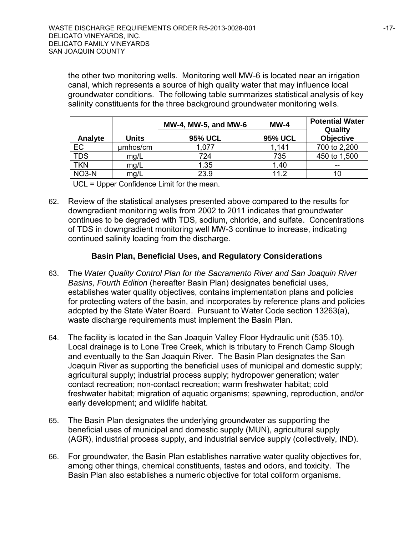the other two monitoring wells. Monitoring well MW-6 is located near an irrigation canal, which represents a source of high quality water that may influence local groundwater conditions. The following table summarizes statistical analysis of key salinity constituents for the three background groundwater monitoring wells.

|                    |              | MW-4, MW-5, and MW-6 | $MW-4$         | <b>Potential Water</b><br>Quality |
|--------------------|--------------|----------------------|----------------|-----------------------------------|
| <b>Analyte</b>     | <b>Units</b> | <b>95% UCL</b>       | <b>95% UCL</b> | <b>Objective</b>                  |
| EC                 | µmhos/cm     | 1,077                | 1.141          | 700 to 2,200                      |
| <b>TDS</b>         | mq/L         | 724                  | 735            | 450 to 1,500                      |
| <b>TKN</b>         | mg/L         | 1.35                 | 1.40           |                                   |
| NO <sub>3</sub> -N | mg/L         | 23.9                 | 112            |                                   |

UCL = Upper Confidence Limit for the mean.

62. Review of the statistical analyses presented above compared to the results for downgradient monitoring wells from 2002 to 2011 indicates that groundwater continues to be degraded with TDS, sodium, chloride, and sulfate. Concentrations of TDS in downgradient monitoring well MW-3 continue to increase, indicating continued salinity loading from the discharge.

## **Basin Plan, Beneficial Uses, and Regulatory Considerations**

- 63. The *Water Quality Control Plan for the Sacramento River and San Joaquin River Basins, Fourth Edition* (hereafter Basin Plan) designates beneficial uses, establishes water quality objectives, contains implementation plans and policies for protecting waters of the basin, and incorporates by reference plans and policies adopted by the State Water Board. Pursuant to Water Code section 13263(a), waste discharge requirements must implement the Basin Plan.
- 64. The facility is located in the San Joaquin Valley Floor Hydraulic unit (535.10). Local drainage is to Lone Tree Creek, which is tributary to French Camp Slough and eventually to the San Joaquin River. The Basin Plan designates the San Joaquin River as supporting the beneficial uses of municipal and domestic supply; agricultural supply; industrial process supply; hydropower generation; water contact recreation; non-contact recreation; warm freshwater habitat; cold freshwater habitat; migration of aquatic organisms; spawning, reproduction, and/or early development; and wildlife habitat.
- 65. The Basin Plan designates the underlying groundwater as supporting the beneficial uses of municipal and domestic supply (MUN), agricultural supply (AGR), industrial process supply, and industrial service supply (collectively, IND).
- 66. For groundwater, the Basin Plan establishes narrative water quality objectives for, among other things, chemical constituents, tastes and odors, and toxicity. The Basin Plan also establishes a numeric objective for total coliform organisms.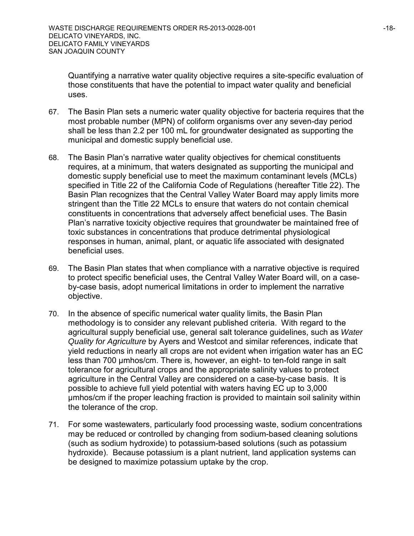Quantifying a narrative water quality objective requires a site-specific evaluation of those constituents that have the potential to impact water quality and beneficial uses.

- 67. The Basin Plan sets a numeric water quality objective for bacteria requires that the most probable number (MPN) of coliform organisms over any seven-day period shall be less than 2.2 per 100 mL for groundwater designated as supporting the municipal and domestic supply beneficial use.
- 68. The Basin Plan's narrative water quality objectives for chemical constituents requires, at a minimum, that waters designated as supporting the municipal and domestic supply beneficial use to meet the maximum contaminant levels (MCLs) specified in Title 22 of the California Code of Regulations (hereafter Title 22). The Basin Plan recognizes that the Central Valley Water Board may apply limits more stringent than the Title 22 MCLs to ensure that waters do not contain chemical constituents in concentrations that adversely affect beneficial uses. The Basin Plan's narrative toxicity objective requires that groundwater be maintained free of toxic substances in concentrations that produce detrimental physiological responses in human, animal, plant, or aquatic life associated with designated beneficial uses.
- 69. The Basin Plan states that when compliance with a narrative objective is required to protect specific beneficial uses, the Central Valley Water Board will, on a caseby-case basis, adopt numerical limitations in order to implement the narrative objective.
- 70. In the absence of specific numerical water quality limits, the Basin Plan methodology is to consider any relevant published criteria. With regard to the agricultural supply beneficial use, general salt tolerance guidelines, such as *Water Quality for Agriculture* by Ayers and Westcot and similar references, indicate that yield reductions in nearly all crops are not evident when irrigation water has an EC less than 700 μmhos/cm. There is, however, an eight- to ten-fold range in salt tolerance for agricultural crops and the appropriate salinity values to protect agriculture in the Central Valley are considered on a case-by-case basis. It is possible to achieve full yield potential with waters having EC up to 3,000 μmhos/cm if the proper leaching fraction is provided to maintain soil salinity within the tolerance of the crop.
- 71. For some wastewaters, particularly food processing waste, sodium concentrations may be reduced or controlled by changing from sodium-based cleaning solutions (such as sodium hydroxide) to potassium-based solutions (such as potassium hydroxide). Because potassium is a plant nutrient, land application systems can be designed to maximize potassium uptake by the crop.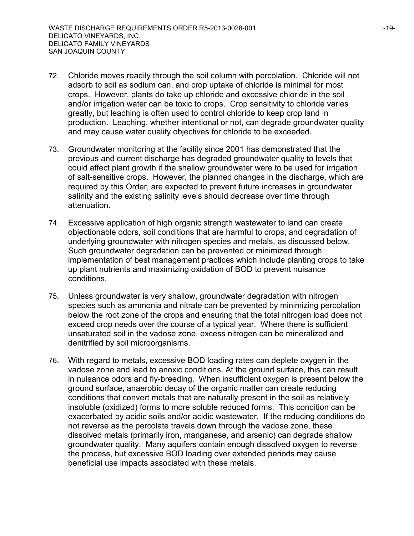- 72. Chloride moves readily through the soil column with percolation. Chloride will not adsorb to soil as sodium can, and crop uptake of chloride is minimal for most crops. However, plants do take up chloride and excessive chloride in the soil and/or irrigation water can be toxic to crops. Crop sensitivity to chloride varies greatly, but leaching is often used to control chloride to keep crop land in production. Leaching, whether intentional or not, can degrade groundwater quality and may cause water quality objectives for chloride to be exceeded.
- 73. Groundwater monitoring at the facility since 2001 has demonstrated that the previous and current discharge has degraded groundwater quality to levels that could affect plant growth if the shallow groundwater were to be used for irrigation of salt-sensitive crops. However, the planned changes in the discharge, which are required by this Order, are expected to prevent future increases in groundwater salinity and the existing salinity levels should decrease over time through attenuation.
- 74. Excessive application of high organic strength wastewater to land can create objectionable odors, soil conditions that are harmful to crops, and degradation of underlying groundwater with nitrogen species and metals, as discussed below. Such groundwater degradation can be prevented or minimized through implementation of best management practices which include planting crops to take up plant nutrients and maximizing oxidation of BOD to prevent nuisance conditions.
- 75. Unless groundwater is very shallow, groundwater degradation with nitrogen species such as ammonia and nitrate can be prevented by minimizing percolation below the root zone of the crops and ensuring that the total nitrogen load does not exceed crop needs over the course of a typical year. Where there is sufficient unsaturated soil in the vadose zone, excess nitrogen can be mineralized and denitrified by soil microorganisms.
- 76. With regard to metals, excessive BOD loading rates can deplete oxygen in the vadose zone and lead to anoxic conditions. At the ground surface, this can result in nuisance odors and fly-breeding. When insufficient oxygen is present below the ground surface, anaerobic decay of the organic matter can create reducing conditions that convert metals that are naturally present in the soil as relatively insoluble (oxidized) forms to more soluble reduced forms. This condition can be exacerbated by acidic soils and/or acidic wastewater. If the reducing conditions do not reverse as the percolate travels down through the vadose zone, these dissolved metals (primarily iron, manganese, and arsenic) can degrade shallow groundwater quality. Many aquifers contain enough dissolved oxygen to reverse the process, but excessive BOD loading over extended periods may cause beneficial use impacts associated with these metals.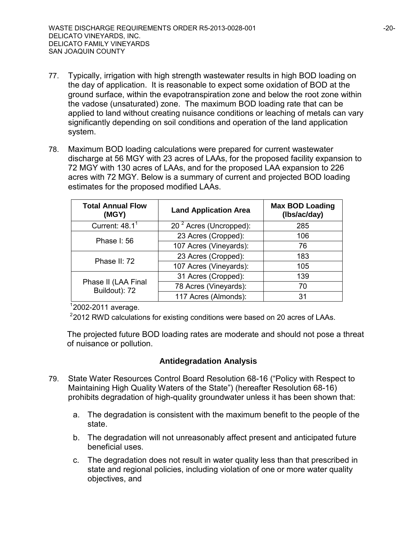- 77. Typically, irrigation with high strength wastewater results in high BOD loading on the day of application. It is reasonable to expect some oxidation of BOD at the ground surface, within the evapotranspiration zone and below the root zone within the vadose (unsaturated) zone. The maximum BOD loading rate that can be applied to land without creating nuisance conditions or leaching of metals can vary significantly depending on soil conditions and operation of the land application system.
- 78. Maximum BOD loading calculations were prepared for current wastewater discharge at 56 MGY with 23 acres of LAAs, for the proposed facility expansion to 72 MGY with 130 acres of LAAs, and for the proposed LAA expansion to 226 acres with 72 MGY. Below is a summary of current and projected BOD loading estimates for the proposed modified LAAs.

| <b>Total Annual Flow</b><br>(MGY)    | <b>Land Application Area</b>       | <b>Max BOD Loading</b><br>(Ibs/ac/day) |
|--------------------------------------|------------------------------------|----------------------------------------|
| Current: $48.11$                     | 20 <sup>2</sup> Acres (Uncropped): | 285                                    |
| <b>Phase I: 56</b>                   | 23 Acres (Cropped):                | 106                                    |
|                                      | 107 Acres (Vineyards):             | 76                                     |
| Phase II: 72                         | 23 Acres (Cropped):                | 183                                    |
|                                      | 107 Acres (Vineyards):             | 105                                    |
|                                      | 31 Acres (Cropped):                | 139                                    |
| Phase II (LAA Final<br>Buildout): 72 | 78 Acres (Vineyards):              | 70                                     |
|                                      | 117 Acres (Almonds):               | 31                                     |

1 2002-2011 average.

 $2$ 2012 RWD calculations for existing conditions were based on 20 acres of LAAs.

The projected future BOD loading rates are moderate and should not pose a threat of nuisance or pollution.

## **Antidegradation Analysis**

- 79. State Water Resources Control Board Resolution 68-16 ("Policy with Respect to Maintaining High Quality Waters of the State") (hereafter Resolution 68-16) prohibits degradation of high-quality groundwater unless it has been shown that:
	- a. The degradation is consistent with the maximum benefit to the people of the state.
	- b. The degradation will not unreasonably affect present and anticipated future beneficial uses.
	- c. The degradation does not result in water quality less than that prescribed in state and regional policies, including violation of one or more water quality objectives, and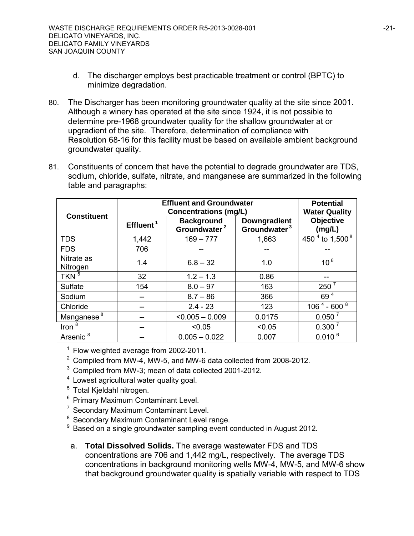- d. The discharger employs best practicable treatment or control (BPTC) to minimize degradation.
- 80. The Discharger has been monitoring groundwater quality at the site since 2001. Although a winery has operated at the site since 1924, it is not possible to determine pre-1968 groundwater quality for the shallow groundwater at or upgradient of the site. Therefore, determination of compliance with Resolution 68-16 for this facility must be based on available ambient background groundwater quality.
- 81. Constituents of concern that have the potential to degrade groundwater are TDS, sodium, chloride, sulfate, nitrate, and manganese are summarized in the following table and paragraphs:

|                        | <b>Effluent and Groundwater</b> | <b>Potential</b><br><b>Water Quality</b>                                      |                                                 |                            |
|------------------------|---------------------------------|-------------------------------------------------------------------------------|-------------------------------------------------|----------------------------|
| <b>Constituent</b>     | Effluent <sup>1</sup>           | <b>Concentrations (mg/L)</b><br><b>Background</b><br>Groundwater <sup>2</sup> | <b>Downgradient</b><br>Groundwater <sup>3</sup> | <b>Objective</b><br>(mg/L) |
| <b>TDS</b>             | 1,442                           | $169 - 777$                                                                   | 1,663                                           | 450 $^{4}$ to 1,500 $^{8}$ |
| <b>FDS</b>             | 706                             |                                                                               |                                                 |                            |
| Nitrate as<br>Nitrogen | 1.4                             | $6.8 - 32$                                                                    | 1.0                                             | $10^6$                     |
| TKN $5$                | 32                              | $1.2 - 1.3$                                                                   | 0.86                                            |                            |
| Sulfate                | 154                             | $8.0 - 97$                                                                    | 163                                             | $250^7$                    |
| Sodium                 |                                 | $8.7 - 86$                                                                    | 366                                             | 69 <sup>4</sup>            |
| Chloride               |                                 | $2.4 - 23$                                                                    | 123                                             | $106^{4}$ - 600 $^{8}$     |
| Manganese <sup>8</sup> |                                 | $< 0.005 - 0.009$                                                             | 0.0175                                          | 0.050 <sup>7</sup>         |
| Iron $8$               |                                 | < 0.05                                                                        | < 0.05                                          | $0.300^7$                  |
| Arsenic <sup>8</sup>   |                                 | $0.005 - 0.022$                                                               | 0.007                                           | $0.010^{6}$                |

<sup>1</sup> Flow weighted average from 2002-2011.

- <sup>2</sup> Compiled from MW-4, MW-5, and MW-6 data collected from 2008-2012.
- <sup>3</sup> Compiled from MW-3; mean of data collected 2001-2012.
- <sup>4</sup> Lowest agricultural water quality goal.
- <sup>5</sup> Total Kjeldahl nitrogen.
- <sup>6</sup> Primary Maximum Contaminant Level.
- <sup>7</sup> Secondary Maximum Contaminant Level.
- <sup>8</sup> Secondary Maximum Contaminant Level range.<br><sup>9</sup> Based on a single groundwater sampling event o
- Based on a single groundwater sampling event conducted in August 2012.
- a. **Total Dissolved Solids.** The average wastewater FDS and TDS concentrations are 706 and 1,442 mg/L, respectively. The average TDS concentrations in background monitoring wells MW-4, MW-5, and MW-6 show that background groundwater quality is spatially variable with respect to TDS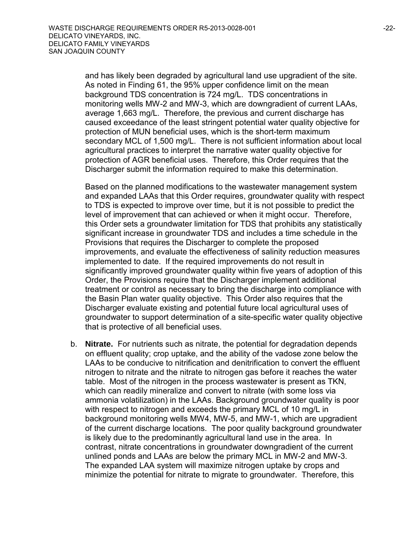and has likely been degraded by agricultural land use upgradient of the site. As noted in Finding 61, the 95% upper confidence limit on the mean background TDS concentration is 724 mg/L. TDS concentrations in monitoring wells MW-2 and MW-3, which are downgradient of current LAAs, average 1,663 mg/L. Therefore, the previous and current discharge has caused exceedance of the least stringent potential water quality objective for protection of MUN beneficial uses, which is the short-term maximum secondary MCL of 1,500 mg/L. There is not sufficient information about local agricultural practices to interpret the narrative water quality objective for protection of AGR beneficial uses. Therefore, this Order requires that the Discharger submit the information required to make this determination.

Based on the planned modifications to the wastewater management system and expanded LAAs that this Order requires, groundwater quality with respect to TDS is expected to improve over time, but it is not possible to predict the level of improvement that can achieved or when it might occur. Therefore, this Order sets a groundwater limitation for TDS that prohibits any statistically significant increase in groundwater TDS and includes a time schedule in the Provisions that requires the Discharger to complete the proposed improvements, and evaluate the effectiveness of salinity reduction measures implemented to date. If the required improvements do not result in significantly improved groundwater quality within five years of adoption of this Order, the Provisions require that the Discharger implement additional treatment or control as necessary to bring the discharge into compliance with the Basin Plan water quality objective. This Order also requires that the Discharger evaluate existing and potential future local agricultural uses of groundwater to support determination of a site-specific water quality objective that is protective of all beneficial uses.

b. **Nitrate.** For nutrients such as nitrate, the potential for degradation depends on effluent quality; crop uptake, and the ability of the vadose zone below the LAAs to be conducive to nitrification and denitrification to convert the effluent nitrogen to nitrate and the nitrate to nitrogen gas before it reaches the water table. Most of the nitrogen in the process wastewater is present as TKN, which can readily mineralize and convert to nitrate (with some loss via ammonia volatilization) in the LAAs. Background groundwater quality is poor with respect to nitrogen and exceeds the primary MCL of 10 mg/L in background monitoring wells MW4, MW-5, and MW-1, which are upgradient of the current discharge locations. The poor quality background groundwater is likely due to the predominantly agricultural land use in the area. In contrast, nitrate concentrations in groundwater downgradient of the current unlined ponds and LAAs are below the primary MCL in MW-2 and MW-3. The expanded LAA system will maximize nitrogen uptake by crops and minimize the potential for nitrate to migrate to groundwater. Therefore, this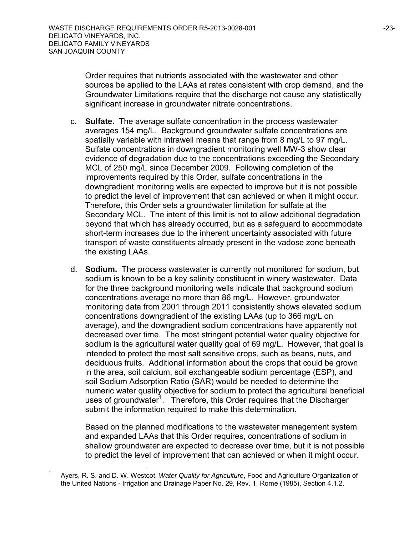Order requires that nutrients associated with the wastewater and other sources be applied to the LAAs at rates consistent with crop demand, and the Groundwater Limitations require that the discharge not cause any statistically significant increase in groundwater nitrate concentrations.

- c. **Sulfate.** The average sulfate concentration in the process wastewater averages 154 mg/L. Background groundwater sulfate concentrations are spatially variable with intrawell means that range from 8 mg/L to 97 mg/L. Sulfate concentrations in downgradient monitoring well MW-3 show clear evidence of degradation due to the concentrations exceeding the Secondary MCL of 250 mg/L since December 2009. Following completion of the improvements required by this Order, sulfate concentrations in the downgradient monitoring wells are expected to improve but it is not possible to predict the level of improvement that can achieved or when it might occur. Therefore, this Order sets a groundwater limitation for sulfate at the Secondary MCL. The intent of this limit is not to allow additional degradation beyond that which has already occurred, but as a safeguard to accommodate short-term increases due to the inherent uncertainty associated with future transport of waste constituents already present in the vadose zone beneath the existing LAAs.
- d. **Sodium.** The process wastewater is currently not monitored for sodium, but sodium is known to be a key salinity constituent in winery wastewater. Data for the three background monitoring wells indicate that background sodium concentrations average no more than 86 mg/L. However, groundwater monitoring data from 2001 through 2011 consistently shows elevated sodium concentrations downgradient of the existing LAAs (up to 366 mg/L on average), and the downgradient sodium concentrations have apparently not decreased over time. The most stringent potential water quality objective for sodium is the agricultural water quality goal of 69 mg/L. However, that goal is intended to protect the most salt sensitive crops, such as beans, nuts, and deciduous fruits. Additional information about the crops that could be grown in the area, soil calcium, soil exchangeable sodium percentage (ESP), and soil Sodium Adsorption Ratio (SAR) would be needed to determine the numeric water quality objective for sodium to protect the agricultural beneficial uses of groundwater<sup>[1](#page-22-0)</sup>. Therefore, this Order requires that the Discharger submit the information required to make this determination.

Based on the planned modifications to the wastewater management system and expanded LAAs that this Order requires, concentrations of sodium in shallow groundwater are expected to decrease over time, but it is not possible to predict the level of improvement that can achieved or when it might occur.

<span id="page-22-0"></span> 1 Ayers, R. S. and D. W. Westcot, *Water Quality for Agriculture*, Food and Agriculture Organization of the United Nations - Irrigation and Drainage Paper No. 29, Rev. 1, Rome (1985), Section 4.1.2.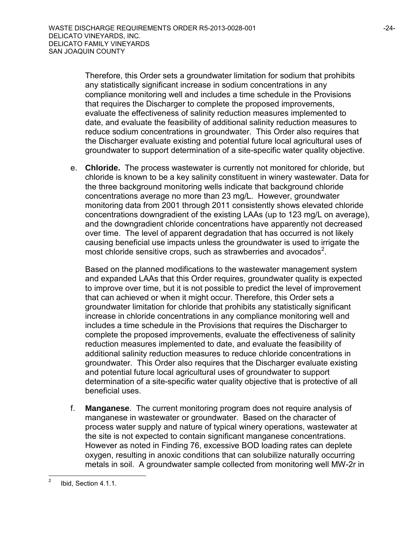Therefore, this Order sets a groundwater limitation for sodium that prohibits any statistically significant increase in sodium concentrations in any compliance monitoring well and includes a time schedule in the Provisions that requires the Discharger to complete the proposed improvements, evaluate the effectiveness of salinity reduction measures implemented to date, and evaluate the feasibility of additional salinity reduction measures to reduce sodium concentrations in groundwater. This Order also requires that the Discharger evaluate existing and potential future local agricultural uses of groundwater to support determination of a site-specific water quality objective.

e. **Chloride.** The process wastewater is currently not monitored for chloride, but chloride is known to be a key salinity constituent in winery wastewater. Data for the three background monitoring wells indicate that background chloride concentrations average no more than 23 mg/L. However, groundwater monitoring data from 2001 through 2011 consistently shows elevated chloride concentrations downgradient of the existing LAAs (up to 123 mg/L on average), and the downgradient chloride concentrations have apparently not decreased over time. The level of apparent degradation that has occurred is not likely causing beneficial use impacts unless the groundwater is used to irrigate the most chloride sensitive crops, such as strawberries and avocados<sup>[2](#page-23-0)</sup>.

Based on the planned modifications to the wastewater management system and expanded LAAs that this Order requires, groundwater quality is expected to improve over time, but it is not possible to predict the level of improvement that can achieved or when it might occur. Therefore, this Order sets a groundwater limitation for chloride that prohibits any statistically significant increase in chloride concentrations in any compliance monitoring well and includes a time schedule in the Provisions that requires the Discharger to complete the proposed improvements, evaluate the effectiveness of salinity reduction measures implemented to date, and evaluate the feasibility of additional salinity reduction measures to reduce chloride concentrations in groundwater. This Order also requires that the Discharger evaluate existing and potential future local agricultural uses of groundwater to support determination of a site-specific water quality objective that is protective of all beneficial uses.

f. **Manganese**. The current monitoring program does not require analysis of manganese in wastewater or groundwater. Based on the character of process water supply and nature of typical winery operations, wastewater at the site is not expected to contain significant manganese concentrations. However as noted in Finding 76, excessive BOD loading rates can deplete oxygen, resulting in anoxic conditions that can solubilize naturally occurring metals in soil. A groundwater sample collected from monitoring well MW-2r in

<span id="page-23-0"></span> $\frac{1}{2}$ Ibid, Section 4.1.1.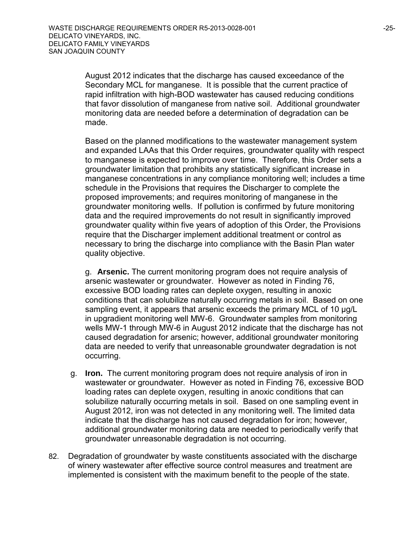August 2012 indicates that the discharge has caused exceedance of the Secondary MCL for manganese. It is possible that the current practice of rapid infiltration with high-BOD wastewater has caused reducing conditions that favor dissolution of manganese from native soil. Additional groundwater monitoring data are needed before a determination of degradation can be made.

Based on the planned modifications to the wastewater management system and expanded LAAs that this Order requires, groundwater quality with respect to manganese is expected to improve over time. Therefore, this Order sets a groundwater limitation that prohibits any statistically significant increase in manganese concentrations in any compliance monitoring well; includes a time schedule in the Provisions that requires the Discharger to complete the proposed improvements; and requires monitoring of manganese in the groundwater monitoring wells. If pollution is confirmed by future monitoring data and the required improvements do not result in significantly improved groundwater quality within five years of adoption of this Order, the Provisions require that the Discharger implement additional treatment or control as necessary to bring the discharge into compliance with the Basin Plan water quality objective.

g. **Arsenic.** The current monitoring program does not require analysis of arsenic wastewater or groundwater. However as noted in Finding 76, excessive BOD loading rates can deplete oxygen, resulting in anoxic conditions that can solubilize naturally occurring metals in soil. Based on one sampling event, it appears that arsenic exceeds the primary MCL of 10 µg/L in upgradient monitoring well MW-6. Groundwater samples from monitoring wells MW-1 through MW-6 in August 2012 indicate that the discharge has not caused degradation for arsenic; however, additional groundwater monitoring data are needed to verify that unreasonable groundwater degradation is not occurring.

- g. **Iron.** The current monitoring program does not require analysis of iron in wastewater or groundwater. However as noted in Finding 76, excessive BOD loading rates can deplete oxygen, resulting in anoxic conditions that can solubilize naturally occurring metals in soil. Based on one sampling event in August 2012, iron was not detected in any monitoring well. The limited data indicate that the discharge has not caused degradation for iron; however, additional groundwater monitoring data are needed to periodically verify that groundwater unreasonable degradation is not occurring.
- 82. Degradation of groundwater by waste constituents associated with the discharge of winery wastewater after effective source control measures and treatment are implemented is consistent with the maximum benefit to the people of the state.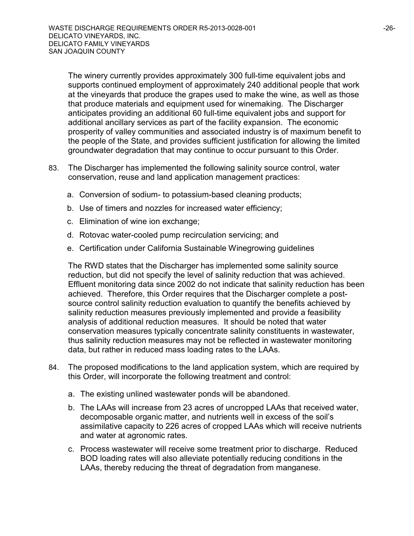The winery currently provides approximately 300 full-time equivalent jobs and supports continued employment of approximately 240 additional people that work at the vineyards that produce the grapes used to make the wine, as well as those that produce materials and equipment used for winemaking. The Discharger anticipates providing an additional 60 full-time equivalent jobs and support for additional ancillary services as part of the facility expansion. The economic prosperity of valley communities and associated industry is of maximum benefit to the people of the State, and provides sufficient justification for allowing the limited groundwater degradation that may continue to occur pursuant to this Order.

- 83. The Discharger has implemented the following salinity source control, water conservation, reuse and land application management practices:
	- a. Conversion of sodium- to potassium-based cleaning products;
	- b. Use of timers and nozzles for increased water efficiency;
	- c. Elimination of wine ion exchange;
	- d. Rotovac water-cooled pump recirculation servicing; and
	- e. Certification under California Sustainable Winegrowing guidelines

The RWD states that the Discharger has implemented some salinity source reduction, but did not specify the level of salinity reduction that was achieved. Effluent monitoring data since 2002 do not indicate that salinity reduction has been achieved. Therefore, this Order requires that the Discharger complete a postsource control salinity reduction evaluation to quantify the benefits achieved by salinity reduction measures previously implemented and provide a feasibility analysis of additional reduction measures. It should be noted that water conservation measures typically concentrate salinity constituents in wastewater, thus salinity reduction measures may not be reflected in wastewater monitoring data, but rather in reduced mass loading rates to the LAAs.

- 84. The proposed modifications to the land application system, which are required by this Order, will incorporate the following treatment and control:
	- a. The existing unlined wastewater ponds will be abandoned.
	- b. The LAAs will increase from 23 acres of uncropped LAAs that received water, decomposable organic matter, and nutrients well in excess of the soil's assimilative capacity to 226 acres of cropped LAAs which will receive nutrients and water at agronomic rates.
	- c. Process wastewater will receive some treatment prior to discharge. Reduced BOD loading rates will also alleviate potentially reducing conditions in the LAAs, thereby reducing the threat of degradation from manganese.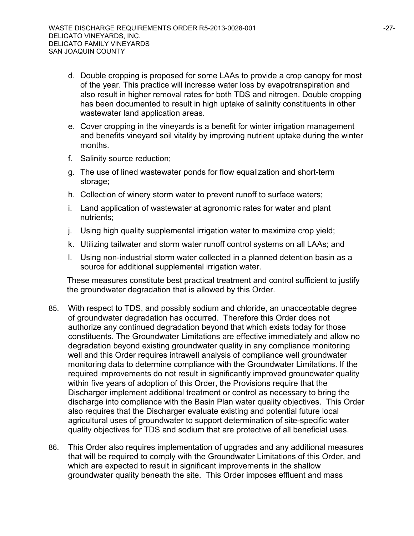- d. Double cropping is proposed for some LAAs to provide a crop canopy for most of the year. This practice will increase water loss by evapotranspiration and also result in higher removal rates for both TDS and nitrogen. Double cropping has been documented to result in high uptake of salinity constituents in other wastewater land application areas.
- e. Cover cropping in the vineyards is a benefit for winter irrigation management and benefits vineyard soil vitality by improving nutrient uptake during the winter months.
- f. Salinity source reduction;
- g. The use of lined wastewater ponds for flow equalization and short-term storage;
- h. Collection of winery storm water to prevent runoff to surface waters;
- i. Land application of wastewater at agronomic rates for water and plant nutrients;
- j. Using high quality supplemental irrigation water to maximize crop yield;
- k. Utilizing tailwater and storm water runoff control systems on all LAAs; and
- l. Using non-industrial storm water collected in a planned detention basin as a source for additional supplemental irrigation water.

These measures constitute best practical treatment and control sufficient to justify the groundwater degradation that is allowed by this Order.

- 85. With respect to TDS, and possibly sodium and chloride, an unacceptable degree of groundwater degradation has occurred. Therefore this Order does not authorize any continued degradation beyond that which exists today for those constituents. The Groundwater Limitations are effective immediately and allow no degradation beyond existing groundwater quality in any compliance monitoring well and this Order requires intrawell analysis of compliance well groundwater monitoring data to determine compliance with the Groundwater Limitations. If the required improvements do not result in significantly improved groundwater quality within five years of adoption of this Order, the Provisions require that the Discharger implement additional treatment or control as necessary to bring the discharge into compliance with the Basin Plan water quality objectives. This Order also requires that the Discharger evaluate existing and potential future local agricultural uses of groundwater to support determination of site-specific water quality objectives for TDS and sodium that are protective of all beneficial uses.
- 86. This Order also requires implementation of upgrades and any additional measures that will be required to comply with the Groundwater Limitations of this Order, and which are expected to result in significant improvements in the shallow groundwater quality beneath the site. This Order imposes effluent and mass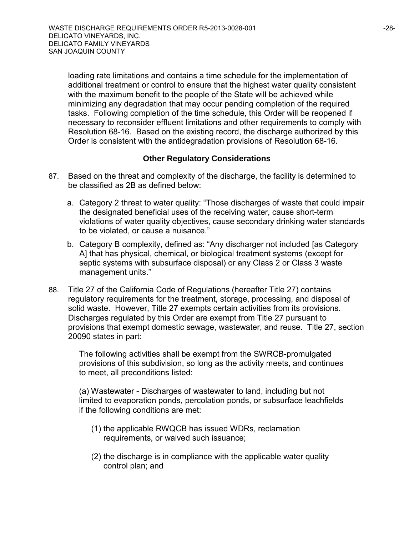loading rate limitations and contains a time schedule for the implementation of additional treatment or control to ensure that the highest water quality consistent with the maximum benefit to the people of the State will be achieved while minimizing any degradation that may occur pending completion of the required tasks. Following completion of the time schedule, this Order will be reopened if necessary to reconsider effluent limitations and other requirements to comply with Resolution 68-16. Based on the existing record, the discharge authorized by this Order is consistent with the antidegradation provisions of Resolution 68-16.

#### **Other Regulatory Considerations**

- 87. Based on the threat and complexity of the discharge, the facility is determined to be classified as 2B as defined below:
	- a. Category 2 threat to water quality: "Those discharges of waste that could impair the designated beneficial uses of the receiving water, cause short-term violations of water quality objectives, cause secondary drinking water standards to be violated, or cause a nuisance."
	- b. Category B complexity, defined as: "Any discharger not included [as Category A] that has physical, chemical, or biological treatment systems (except for septic systems with subsurface disposal) or any Class 2 or Class 3 waste management units."
- 88. Title 27 of the California Code of Regulations (hereafter Title 27) contains regulatory requirements for the treatment, storage, processing, and disposal of solid waste. However, Title 27 exempts certain activities from its provisions. Discharges regulated by this Order are exempt from Title 27 pursuant to provisions that exempt domestic sewage, wastewater, and reuse. Title 27, section 20090 states in part:

The following activities shall be exempt from the SWRCB-promulgated provisions of this subdivision, so long as the activity meets, and continues to meet, all preconditions listed:

(a) Wastewater - Discharges of wastewater to land, including but not limited to evaporation ponds, percolation ponds, or subsurface leachfields if the following conditions are met:

- (1) the applicable RWQCB has issued WDRs, reclamation requirements, or waived such issuance;
- (2) the discharge is in compliance with the applicable water quality control plan; and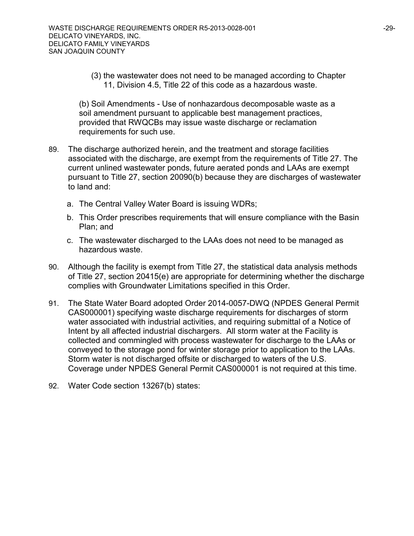(3) the wastewater does not need to be managed according to Chapter 11, Division 4.5, Title 22 of this code as a hazardous waste.

(b) Soil Amendments - Use of nonhazardous decomposable waste as a soil amendment pursuant to applicable best management practices, provided that RWQCBs may issue waste discharge or reclamation requirements for such use.

- 89. The discharge authorized herein, and the treatment and storage facilities associated with the discharge, are exempt from the requirements of Title 27. The current unlined wastewater ponds, future aerated ponds and LAAs are exempt pursuant to Title 27, section 20090(b) because they are discharges of wastewater to land and:
	- a. The Central Valley Water Board is issuing WDRs;
	- b. This Order prescribes requirements that will ensure compliance with the Basin Plan; and
	- c. The wastewater discharged to the LAAs does not need to be managed as hazardous waste.
- 90. Although the facility is exempt from Title 27, the statistical data analysis methods of Title 27, section 20415(e) are appropriate for determining whether the discharge complies with Groundwater Limitations specified in this Order.
- 91. The State Water Board adopted Order 2014-0057-DWQ (NPDES General Permit CAS000001) specifying waste discharge requirements for discharges of storm water associated with industrial activities, and requiring submittal of a Notice of Intent by all affected industrial dischargers. All storm water at the Facility is collected and commingled with process wastewater for discharge to the LAAs or conveyed to the storage pond for winter storage prior to application to the LAAs. Storm water is not discharged offsite or discharged to waters of the U.S. Coverage under NPDES General Permit CAS000001 is not required at this time.
- 92. Water Code section 13267(b) states: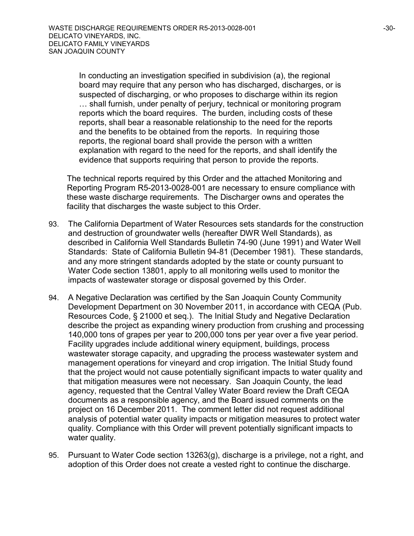In conducting an investigation specified in subdivision (a), the regional board may require that any person who has discharged, discharges, or is suspected of discharging, or who proposes to discharge within its region … shall furnish, under penalty of perjury, technical or monitoring program reports which the board requires. The burden, including costs of these reports, shall bear a reasonable relationship to the need for the reports and the benefits to be obtained from the reports. In requiring those reports, the regional board shall provide the person with a written explanation with regard to the need for the reports, and shall identify the evidence that supports requiring that person to provide the reports.

The technical reports required by this Order and the attached Monitoring and Reporting Program R5-2013-0028-001 are necessary to ensure compliance with these waste discharge requirements. The Discharger owns and operates the facility that discharges the waste subject to this Order.

- 93. The California Department of Water Resources sets standards for the construction and destruction of groundwater wells (hereafter DWR Well Standards), as described in California Well Standards Bulletin 74-90 (June 1991) and Water Well Standards: State of California Bulletin 94-81 (December 1981). These standards, and any more stringent standards adopted by the state or county pursuant to Water Code section 13801, apply to all monitoring wells used to monitor the impacts of wastewater storage or disposal governed by this Order.
- 94. A Negative Declaration was certified by the San Joaquin County Community Development Department on 30 November 2011, in accordance with CEQA (Pub. Resources Code, § 21000 et seq.). The Initial Study and Negative Declaration describe the project as expanding winery production from crushing and processing 140,000 tons of grapes per year to 200,000 tons per year over a five year period. Facility upgrades include additional winery equipment, buildings, process wastewater storage capacity, and upgrading the process wastewater system and management operations for vineyard and crop irrigation. The Initial Study found that the project would not cause potentially significant impacts to water quality and that mitigation measures were not necessary. San Joaquin County, the lead agency, requested that the Central Valley Water Board review the Draft CEQA documents as a responsible agency, and the Board issued comments on the project on 16 December 2011. The comment letter did not request additional analysis of potential water quality impacts or mitigation measures to protect water quality. Compliance with this Order will prevent potentially significant impacts to water quality.
- 95. Pursuant to Water Code section 13263(g), discharge is a privilege, not a right, and adoption of this Order does not create a vested right to continue the discharge.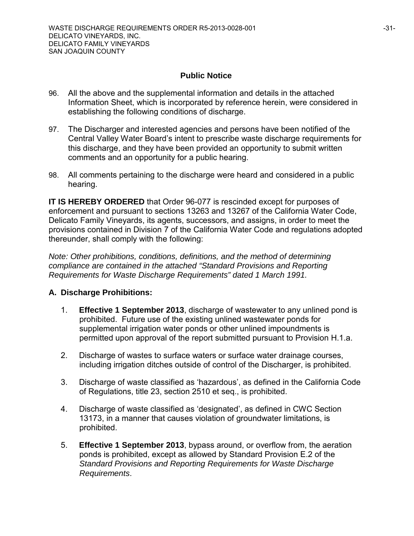## **Public Notice**

- 96. All the above and the supplemental information and details in the attached Information Sheet, which is incorporated by reference herein, were considered in establishing the following conditions of discharge.
- 97. The Discharger and interested agencies and persons have been notified of the Central Valley Water Board's intent to prescribe waste discharge requirements for this discharge, and they have been provided an opportunity to submit written comments and an opportunity for a public hearing.
- 98. All comments pertaining to the discharge were heard and considered in a public hearing.

**IT IS HEREBY ORDERED** that Order 96-077 is rescinded except for purposes of enforcement and pursuant to sections 13263 and 13267 of the California Water Code, Delicato Family Vineyards, its agents, successors, and assigns, in order to meet the provisions contained in Division 7 of the California Water Code and regulations adopted thereunder, shall comply with the following:

*Note: Other prohibitions, conditions, definitions, and the method of determining compliance are contained in the attached "Standard Provisions and Reporting Requirements for Waste Discharge Requirements" dated 1 March 1991.*

## **A. Discharge Prohibitions:**

- 1. **Effective 1 September 2013**, discharge of wastewater to any unlined pond is prohibited. Future use of the existing unlined wastewater ponds for supplemental irrigation water ponds or other unlined impoundments is permitted upon approval of the report submitted pursuant to Provision H.1.a.
- 2. Discharge of wastes to surface waters or surface water drainage courses, including irrigation ditches outside of control of the Discharger, is prohibited.
- 3. Discharge of waste classified as 'hazardous', as defined in the California Code of Regulations, title 23, section 2510 et seq., is prohibited.
- 4. Discharge of waste classified as 'designated', as defined in CWC Section 13173, in a manner that causes violation of groundwater limitations, is prohibited.
- 5. **Effective 1 September 2013**, bypass around, or overflow from, the aeration ponds is prohibited, except as allowed by Standard Provision E.2 of the *Standard Provisions and Reporting Requirements for Waste Discharge Requirements*.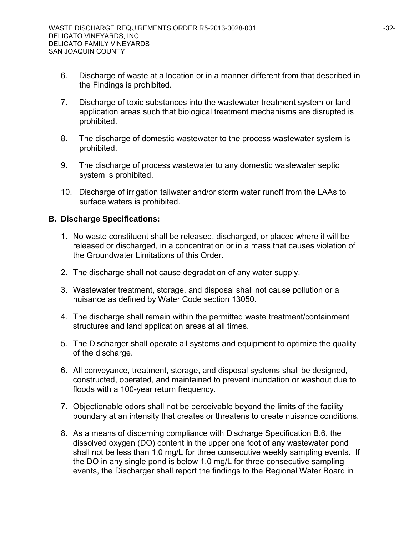- 6. Discharge of waste at a location or in a manner different from that described in the Findings is prohibited.
- 7. Discharge of toxic substances into the wastewater treatment system or land application areas such that biological treatment mechanisms are disrupted is prohibited.
- 8. The discharge of domestic wastewater to the process wastewater system is prohibited.
- 9. The discharge of process wastewater to any domestic wastewater septic system is prohibited.
- 10. Discharge of irrigation tailwater and/or storm water runoff from the LAAs to surface waters is prohibited.

## **B. Discharge Specifications:**

- 1. No waste constituent shall be released, discharged, or placed where it will be released or discharged, in a concentration or in a mass that causes violation of the Groundwater Limitations of this Order.
- 2. The discharge shall not cause degradation of any water supply.
- 3. Wastewater treatment, storage, and disposal shall not cause pollution or a nuisance as defined by Water Code section 13050.
- 4. The discharge shall remain within the permitted waste treatment/containment structures and land application areas at all times.
- 5. The Discharger shall operate all systems and equipment to optimize the quality of the discharge.
- 6. All conveyance, treatment, storage, and disposal systems shall be designed, constructed, operated, and maintained to prevent inundation or washout due to floods with a 100-year return frequency.
- 7. Objectionable odors shall not be perceivable beyond the limits of the facility boundary at an intensity that creates or threatens to create nuisance conditions.
- 8. As a means of discerning compliance with Discharge Specification B.6, the dissolved oxygen (DO) content in the upper one foot of any wastewater pond shall not be less than 1.0 mg/L for three consecutive weekly sampling events. If the DO in any single pond is below 1.0 mg/L for three consecutive sampling events, the Discharger shall report the findings to the Regional Water Board in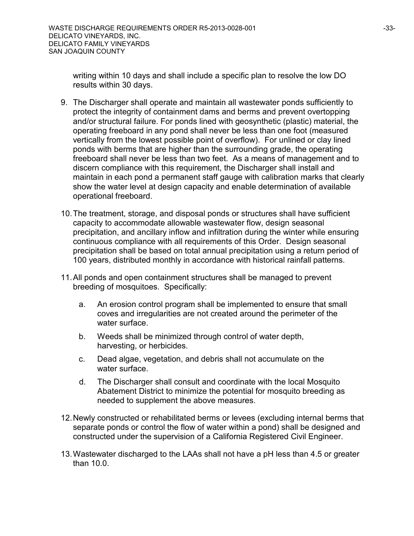writing within 10 days and shall include a specific plan to resolve the low DO results within 30 days.

- 9. The Discharger shall operate and maintain all wastewater ponds sufficiently to protect the integrity of containment dams and berms and prevent overtopping and/or structural failure. For ponds lined with geosynthetic (plastic) material, the operating freeboard in any pond shall never be less than one foot (measured vertically from the lowest possible point of overflow). For unlined or clay lined ponds with berms that are higher than the surrounding grade, the operating freeboard shall never be less than two feet. As a means of management and to discern compliance with this requirement, the Discharger shall install and maintain in each pond a permanent staff gauge with calibration marks that clearly show the water level at design capacity and enable determination of available operational freeboard.
- 10.The treatment, storage, and disposal ponds or structures shall have sufficient capacity to accommodate allowable wastewater flow, design seasonal precipitation, and ancillary inflow and infiltration during the winter while ensuring continuous compliance with all requirements of this Order. Design seasonal precipitation shall be based on total annual precipitation using a return period of 100 years, distributed monthly in accordance with historical rainfall patterns.
- 11.All ponds and open containment structures shall be managed to prevent breeding of mosquitoes. Specifically:
	- a. An erosion control program shall be implemented to ensure that small coves and irregularities are not created around the perimeter of the water surface.
	- b. Weeds shall be minimized through control of water depth, harvesting, or herbicides.
	- c. Dead algae, vegetation, and debris shall not accumulate on the water surface.
	- d. The Discharger shall consult and coordinate with the local Mosquito Abatement District to minimize the potential for mosquito breeding as needed to supplement the above measures.
- 12.Newly constructed or rehabilitated berms or levees (excluding internal berms that separate ponds or control the flow of water within a pond) shall be designed and constructed under the supervision of a California Registered Civil Engineer.
- 13.Wastewater discharged to the LAAs shall not have a pH less than 4.5 or greater than 10.0.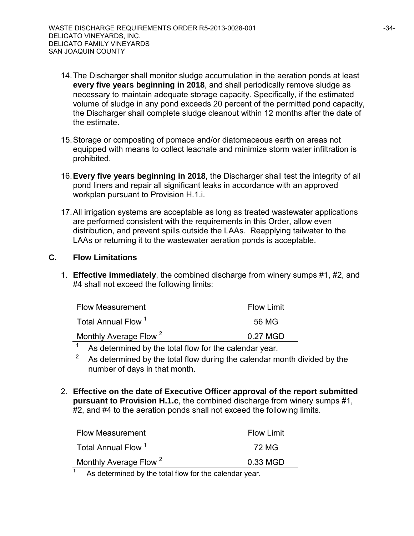- 14.The Discharger shall monitor sludge accumulation in the aeration ponds at least **every five years beginning in 2018**, and shall periodically remove sludge as necessary to maintain adequate storage capacity. Specifically, if the estimated volume of sludge in any pond exceeds 20 percent of the permitted pond capacity, the Discharger shall complete sludge cleanout within 12 months after the date of the estimate.
- 15.Storage or composting of pomace and/or diatomaceous earth on areas not equipped with means to collect leachate and minimize storm water infiltration is prohibited.
- 16.**Every five years beginning in 2018**, the Discharger shall test the integrity of all pond liners and repair all significant leaks in accordance with an approved workplan pursuant to Provision H.1.i.
- 17.All irrigation systems are acceptable as long as treated wastewater applications are performed consistent with the requirements in this Order, allow even distribution, and prevent spills outside the LAAs. Reapplying tailwater to the LAAs or returning it to the wastewater aeration ponds is acceptable.

# **C. Flow Limitations**

1. **Effective immediately**, the combined discharge from winery sumps #1, #2, and #4 shall not exceed the following limits:

| <b>Flow Measurement</b>           | <b>Flow Limit</b> |
|-----------------------------------|-------------------|
| Total Annual Flow <sup>1</sup>    | 56 MG             |
| Monthly Average Flow <sup>2</sup> | 0.27 MGD          |

- <sup>1</sup> As determined by the total flow for the calendar year.
- As determined by the total flow during the calendar month divided by the number of days in that month.
- 2. **Effective on the date of Executive Officer approval of the report submitted pursuant to Provision H.1.c**, the combined discharge from winery sumps #1, #2, and #4 to the aeration ponds shall not exceed the following limits.

| <b>Flow Measurement</b>           | <b>Flow Limit</b> |
|-----------------------------------|-------------------|
| Total Annual Flow <sup>1</sup>    | -72 MG            |
| Monthly Average Flow <sup>2</sup> | 0.33 MGD          |
|                                   |                   |

As determined by the total flow for the calendar year.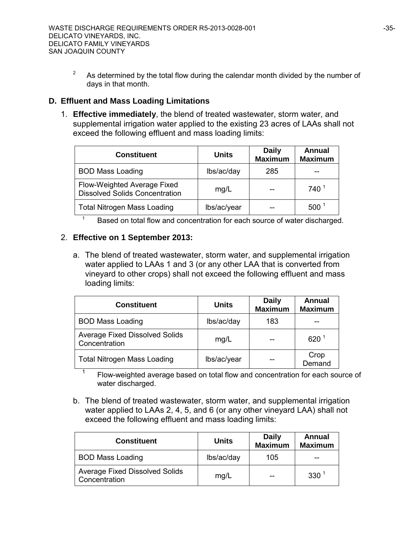<sup>2</sup> As determined by the total flow during the calendar month divided by the number of days in that month.

## **D. Effluent and Mass Loading Limitations**

1. **Effective immediately**, the blend of treated wastewater, storm water, and supplemental irrigation water applied to the existing 23 acres of LAAs shall not exceed the following effluent and mass loading limits:

| <b>Constituent</b>                                                   | <b>Units</b> | <b>Daily</b><br><b>Maximum</b> | Annual<br><b>Maximum</b> |
|----------------------------------------------------------------------|--------------|--------------------------------|--------------------------|
| <b>BOD Mass Loading</b>                                              | lbs/ac/day   | 285                            |                          |
| Flow-Weighted Average Fixed<br><b>Dissolved Solids Concentration</b> | mg/L         |                                | $740^{1}$                |
| <b>Total Nitrogen Mass Loading</b>                                   | lbs/ac/year  |                                | 500                      |

 $1 -$ Based on total flow and concentration for each source of water discharged.

## 2. **Effective on 1 September 2013:**

a. The blend of treated wastewater, storm water, and supplemental irrigation water applied to LAAs 1 and 3 (or any other LAA that is converted from vineyard to other crops) shall not exceed the following effluent and mass loading limits:

| <b>Constituent</b>                                     | <b>Units</b> | <b>Daily</b><br><b>Maximum</b> | Annual<br><b>Maximum</b> |
|--------------------------------------------------------|--------------|--------------------------------|--------------------------|
| <b>BOD Mass Loading</b>                                | lbs/ac/day   | 183                            |                          |
| <b>Average Fixed Dissolved Solids</b><br>Concentration | mg/L         |                                | 620 <sup>1</sup>         |
| <b>Total Nitrogen Mass Loading</b>                     | lbs/ac/year  |                                | Crop<br>Demand           |

<sup>1</sup> Flow-weighted average based on total flow and concentration for each source of water discharged.

b. The blend of treated wastewater, storm water, and supplemental irrigation water applied to LAAs 2, 4, 5, and 6 (or any other vineyard LAA) shall not exceed the following effluent and mass loading limits:

| <b>Constituent</b>                                     | <b>Units</b> | <b>Daily</b><br><b>Maximum</b> | Annual<br><b>Maximum</b> |
|--------------------------------------------------------|--------------|--------------------------------|--------------------------|
| <b>BOD Mass Loading</b>                                | lbs/ac/day   | 105                            | --                       |
| <b>Average Fixed Dissolved Solids</b><br>Concentration | mg/L         | --                             | 330 <sup>1</sup>         |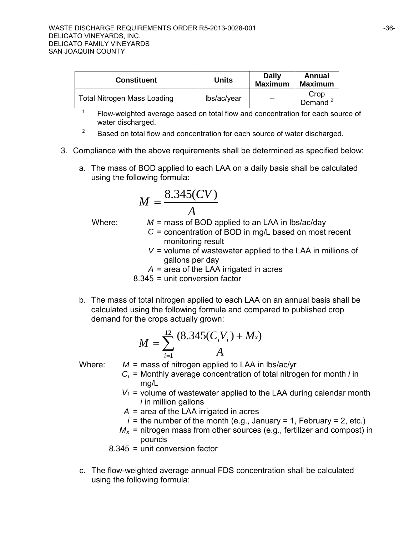| <b>Constituent</b>                 | Units       | <b>Daily</b><br><b>Maximum</b> | Annual<br><b>Maximum</b>    |
|------------------------------------|-------------|--------------------------------|-----------------------------|
| <b>Total Nitrogen Mass Loading</b> | lbs/ac/year | $-$                            | Crop<br>Demand <sup>2</sup> |

 $1 - 1$  Flow-weighted average based on total flow and concentration for each source of water discharged.

- $2^2$  Based on total flow and concentration for each source of water discharged.
- 3. Compliance with the above requirements shall be determined as specified below:
	- a. The mass of BOD applied to each LAA on a daily basis shall be calculated using the following formula:

$$
M = \frac{8.345(CV)}{A}
$$

Where: *M* = mass of BOD applied to an LAA in lbs/ac/day

- *C* = concentration of BOD in mg/L based on most recent monitoring result
- *V* = volume of wastewater applied to the LAA in millions of gallons per day
- $A = \overline{a}$  area of the LAA irrigated in acres

8.345 = unit conversion factor

b. The mass of total nitrogen applied to each LAA on an annual basis shall be calculated using the following formula and compared to published crop demand for the crops actually grown:

$$
M = \sum_{i=1}^{12} \frac{(8.345(C_i V_i) + M_x)}{A}
$$

Where: *M* = mass of nitrogen applied to LAA in lbs/ac/yr

- $C_i$  = Monthly average concentration of total nitrogen for month *i* in mg/L
- $V_i$  = volume of wastewater applied to the LAA during calendar month *i* in million gallons
- *A* = area of the LAA irrigated in acres
- $i =$  the number of the month (e.g., January = 1, February = 2, etc.)
- $M_x$  = nitrogen mass from other sources (e.g., fertilizer and compost) in pounds
- 8.345 = unit conversion factor
- c. The flow-weighted average annual FDS concentration shall be calculated using the following formula: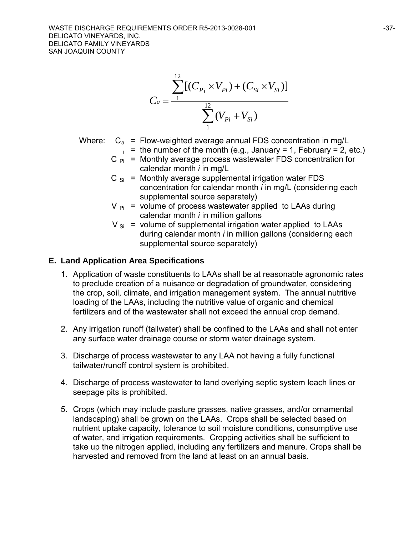$$
C_a = \frac{\sum_{1}^{12} [(C_{P_i} \times V_{P_i}) + (C_{Si} \times V_{Si})]}{\sum_{1}^{12} (V_{P_i} + V_{Si})}
$$

- Where:  $C_a$  = Flow-weighted average annual FDS concentration in mg/L
	- $i =$  the number of the month (e.g., January = 1, February = 2, etc.)
	- $C_{\text{Pi}}$  = Monthly average process wastewater FDS concentration for calendar month *i* in mg/L
	- $C_{\text{Si}}$  = Monthly average supplemental irrigation water FDS concentration for calendar month *i* in mg/L (considering each supplemental source separately)
	- $V_{\text{Pi}}$  = volume of process wastewater applied to LAAs during calendar month *i* in million gallons
	- $V_{\text{Si}}$  = volume of supplemental irrigation water applied to LAAs during calendar month *i* in million gallons (considering each supplemental source separately)

# **E. Land Application Area Specifications**

- 1. Application of waste constituents to LAAs shall be at reasonable agronomic rates to preclude creation of a nuisance or degradation of groundwater, considering the crop, soil, climate, and irrigation management system. The annual nutritive loading of the LAAs, including the nutritive value of organic and chemical fertilizers and of the wastewater shall not exceed the annual crop demand.
- 2. Any irrigation runoff (tailwater) shall be confined to the LAAs and shall not enter any surface water drainage course or storm water drainage system.
- 3. Discharge of process wastewater to any LAA not having a fully functional tailwater/runoff control system is prohibited.
- 4. Discharge of process wastewater to land overlying septic system leach lines or seepage pits is prohibited.
- 5. Crops (which may include pasture grasses, native grasses, and/or ornamental landscaping) shall be grown on the LAAs. Crops shall be selected based on nutrient uptake capacity, tolerance to soil moisture conditions, consumptive use of water, and irrigation requirements. Cropping activities shall be sufficient to take up the nitrogen applied, including any fertilizers and manure. Crops shall be harvested and removed from the land at least on an annual basis.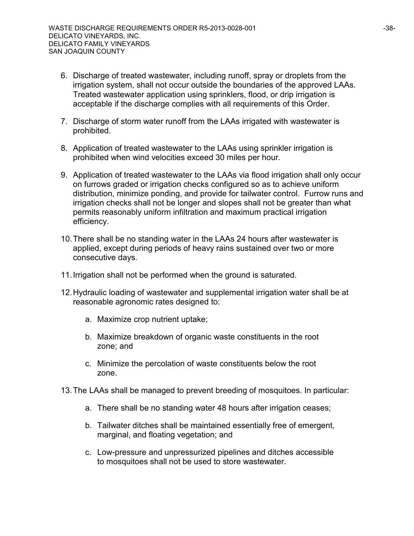- 6. Discharge of treated wastewater, including runoff, spray or droplets from the irrigation system, shall not occur outside the boundaries of the approved LAAs. Treated wastewater application using sprinklers, flood, or drip irrigation is acceptable if the discharge complies with all requirements of this Order.
- 7. Discharge of storm water runoff from the LAAs irrigated with wastewater is prohibited.
- 8. Application of treated wastewater to the LAAs using sprinkler irrigation is prohibited when wind velocities exceed 30 miles per hour.
- 9. Application of treated wastewater to the LAAs via flood irrigation shall only occur on furrows graded or irrigation checks configured so as to achieve uniform distribution, minimize ponding, and provide for tailwater control. Furrow runs and irrigation checks shall not be longer and slopes shall not be greater than what permits reasonably uniform infiltration and maximum practical irrigation efficiency.
- 10.There shall be no standing water in the LAAs 24 hours after wastewater is applied, except during periods of heavy rains sustained over two or more consecutive days.
- 11.Irrigation shall not be performed when the ground is saturated.
- 12.Hydraulic loading of wastewater and supplemental irrigation water shall be at reasonable agronomic rates designed to:
	- a. Maximize crop nutrient uptake;
	- b. Maximize breakdown of organic waste constituents in the root zone; and
	- c. Minimize the percolation of waste constituents below the root zone.
- 13.The LAAs shall be managed to prevent breeding of mosquitoes. In particular:
	- a. There shall be no standing water 48 hours after irrigation ceases;
	- b. Tailwater ditches shall be maintained essentially free of emergent, marginal, and floating vegetation; and
	- c. Low-pressure and unpressurized pipelines and ditches accessible to mosquitoes shall not be used to store wastewater.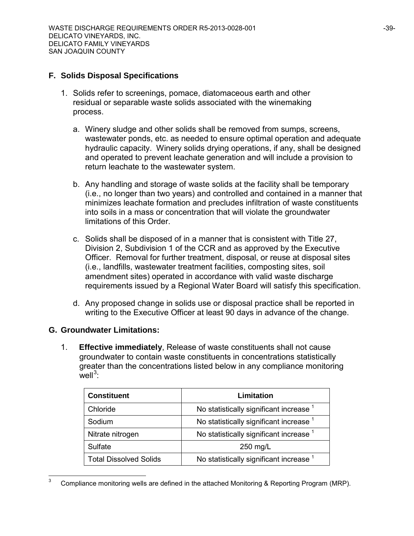## **F. Solids Disposal Specifications**

- 1. Solids refer to screenings, pomace, diatomaceous earth and other residual or separable waste solids associated with the winemaking process.
	- a. Winery sludge and other solids shall be removed from sumps, screens, wastewater ponds, etc. as needed to ensure optimal operation and adequate hydraulic capacity. Winery solids drying operations, if any, shall be designed and operated to prevent leachate generation and will include a provision to return leachate to the wastewater system.
	- b. Any handling and storage of waste solids at the facility shall be temporary (i.e., no longer than two years) and controlled and contained in a manner that minimizes leachate formation and precludes infiltration of waste constituents into soils in a mass or concentration that will violate the groundwater limitations of this Order.
	- c. Solids shall be disposed of in a manner that is consistent with Title 27, Division 2, Subdivision 1 of the CCR and as approved by the Executive Officer. Removal for further treatment, disposal, or reuse at disposal sites (i.e., landfills, wastewater treatment facilities, composting sites, soil amendment sites) operated in accordance with valid waste discharge requirements issued by a Regional Water Board will satisfy this specification.
	- d. Any proposed change in solids use or disposal practice shall be reported in writing to the Executive Officer at least 90 days in advance of the change.

## **G. Groundwater Limitations:**

1. **Effective immediately**, Release of waste constituents shall not cause groundwater to contain waste constituents in concentrations statistically greater than the concentrations listed below in any compliance monitoring  $well^3$  $well^3$ :

| <b>Constituent</b>            | Limitation                                         |
|-------------------------------|----------------------------------------------------|
| Chloride                      | No statistically significant increase <sup>1</sup> |
| Sodium                        | No statistically significant increase <sup>1</sup> |
| Nitrate nitrogen              | No statistically significant increase <sup>1</sup> |
| Sulfate                       | 250 mg/L                                           |
| <b>Total Dissolved Solids</b> | No statistically significant increase <sup>1</sup> |

<span id="page-38-0"></span><sup>-&</sup>lt;br>3 Compliance monitoring wells are defined in the attached Monitoring & Reporting Program (MRP).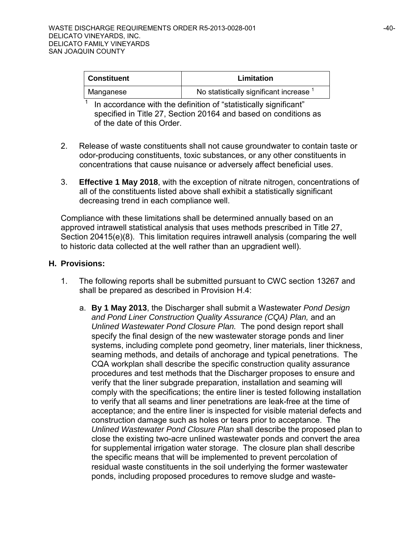| ∣ Constituent | Limitation                            |
|---------------|---------------------------------------|
| Manganese     | No statistically significant increase |

In accordance with the definition of "statistically significant" specified in Title 27, Section 20164 and based on conditions as of the date of this Order.

- 2. Release of waste constituents shall not cause groundwater to contain taste or odor-producing constituents, toxic substances, or any other constituents in concentrations that cause nuisance or adversely affect beneficial uses.
- 3. **Effective 1 May 2018**, with the exception of nitrate nitrogen, concentrations of all of the constituents listed above shall exhibit a statistically significant decreasing trend in each compliance well.

Compliance with these limitations shall be determined annually based on an approved intrawell statistical analysis that uses methods prescribed in Title 27, Section 20415(e)(8). This limitation requires intrawell analysis (comparing the well to historic data collected at the well rather than an upgradient well).

## **H. Provisions:**

- 1. The following reports shall be submitted pursuant to CWC section 13267 and shall be prepared as described in Provision H.4:
	- a. **By 1 May 2013**, the Discharger shall submit a Wastewater *Pond Design and Pond Liner Construction Quality Assurance (CQA) Plan,* and an *Unlined Wastewater Pond Closure Plan.* The pond design report shall specify the final design of the new wastewater storage ponds and liner systems, including complete pond geometry, liner materials, liner thickness, seaming methods, and details of anchorage and typical penetrations. The CQA workplan shall describe the specific construction quality assurance procedures and test methods that the Discharger proposes to ensure and verify that the liner subgrade preparation, installation and seaming will comply with the specifications; the entire liner is tested following installation to verify that all seams and liner penetrations are leak-free at the time of acceptance; and the entire liner is inspected for visible material defects and construction damage such as holes or tears prior to acceptance. The *Unlined Wastewater Pond Closure Plan* shall describe the proposed plan to close the existing two-acre unlined wastewater ponds and convert the area for supplemental irrigation water storage. The closure plan shall describe the specific means that will be implemented to prevent percolation of residual waste constituents in the soil underlying the former wastewater ponds, including proposed procedures to remove sludge and waste-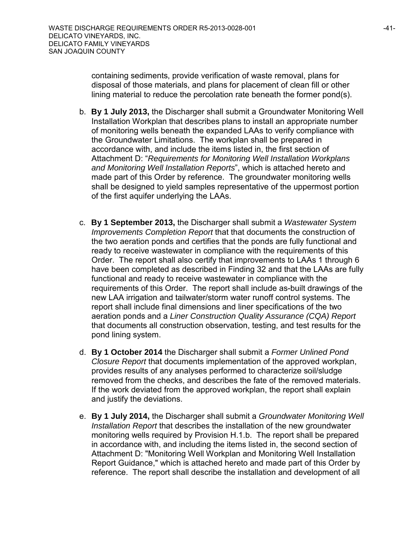containing sediments, provide verification of waste removal, plans for disposal of those materials, and plans for placement of clean fill or other lining material to reduce the percolation rate beneath the former pond(s).

- b. **By 1 July 2013,** the Discharger shall submit a Groundwater Monitoring Well Installation Workplan that describes plans to install an appropriate number of monitoring wells beneath the expanded LAAs to verify compliance with the Groundwater Limitations. The workplan shall be prepared in accordance with, and include the items listed in, the first section of Attachment D: "*Requirements for Monitoring Well Installation Workplans and Monitoring Well Installation Reports*", which is attached hereto and made part of this Order by reference. The groundwater monitoring wells shall be designed to yield samples representative of the uppermost portion of the first aquifer underlying the LAAs.
- c. **By 1 September 2013,** the Discharger shall submit a *Wastewater System Improvements Completion Report* that that documents the construction of the two aeration ponds and certifies that the ponds are fully functional and ready to receive wastewater in compliance with the requirements of this Order. The report shall also certify that improvements to LAAs 1 through 6 have been completed as described in Finding 32 and that the LAAs are fully functional and ready to receive wastewater in compliance with the requirements of this Order. The report shall include as-built drawings of the new LAA irrigation and tailwater/storm water runoff control systems. The report shall include final dimensions and liner specifications of the two aeration ponds and a *Liner Construction Quality Assurance (CQA) Report* that documents all construction observation, testing, and test results for the pond lining system.
- d. **By 1 October 2014** the Discharger shall submit a *Former Unlined Pond Closure Report* that documents implementation of the approved workplan, provides results of any analyses performed to characterize soil/sludge removed from the checks, and describes the fate of the removed materials. If the work deviated from the approved workplan, the report shall explain and justify the deviations.
- e. **By 1 July 2014,** the Discharger shall submit a *Groundwater Monitoring Well Installation Report* that describes the installation of the new groundwater monitoring wells required by Provision H.1.b. The report shall be prepared in accordance with, and including the items listed in, the second section of Attachment D: "Monitoring Well Workplan and Monitoring Well Installation Report Guidance," which is attached hereto and made part of this Order by reference. The report shall describe the installation and development of all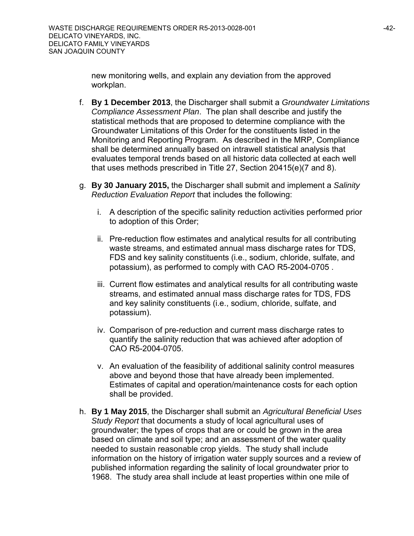new monitoring wells, and explain any deviation from the approved workplan.

- f. **By 1 December 2013**, the Discharger shall submit a *Groundwater Limitations Compliance Assessment Plan*. The plan shall describe and justify the statistical methods that are proposed to determine compliance with the Groundwater Limitations of this Order for the constituents listed in the Monitoring and Reporting Program. As described in the MRP, Compliance shall be determined annually based on intrawell statistical analysis that evaluates temporal trends based on all historic data collected at each well that uses methods prescribed in Title 27, Section 20415(e)(7 and 8).
- g. **By 30 January 2015,** the Discharger shall submit and implement a *Salinity Reduction Evaluation Report* that includes the following:
	- i. A description of the specific salinity reduction activities performed prior to adoption of this Order;
	- ii. Pre-reduction flow estimates and analytical results for all contributing waste streams, and estimated annual mass discharge rates for TDS, FDS and key salinity constituents (i.e., sodium, chloride, sulfate, and potassium), as performed to comply with CAO R5-2004-0705 .
	- iii. Current flow estimates and analytical results for all contributing waste streams, and estimated annual mass discharge rates for TDS, FDS and key salinity constituents (i.e., sodium, chloride, sulfate, and potassium).
	- iv. Comparison of pre-reduction and current mass discharge rates to quantify the salinity reduction that was achieved after adoption of CAO R5-2004-0705.
	- v. An evaluation of the feasibility of additional salinity control measures above and beyond those that have already been implemented. Estimates of capital and operation/maintenance costs for each option shall be provided.
- h. **By 1 May 2015**, the Discharger shall submit an *Agricultural Beneficial Uses Study Report* that documents a study of local agricultural uses of groundwater; the types of crops that are or could be grown in the area based on climate and soil type; and an assessment of the water quality needed to sustain reasonable crop yields. The study shall include information on the history of irrigation water supply sources and a review of published information regarding the salinity of local groundwater prior to 1968. The study area shall include at least properties within one mile of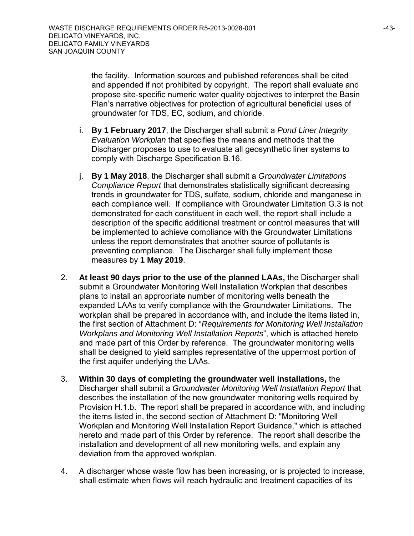the facility. Information sources and published references shall be cited and appended if not prohibited by copyright. The report shall evaluate and propose site-specific numeric water quality objectives to interpret the Basin Plan's narrative objectives for protection of agricultural beneficial uses of groundwater for TDS, EC, sodium, and chloride.

- i. **By 1 February 2017**, the Discharger shall submit a *Pond Liner Integrity Evaluation Workplan* that specifies the means and methods that the Discharger proposes to use to evaluate all geosynthetic liner systems to comply with Discharge Specification B.16.
- j. **By 1 May 2018**, the Discharger shall submit a *Groundwater Limitations Compliance Report* that demonstrates statistically significant decreasing trends in groundwater for TDS, sulfate, sodium, chloride and manganese in each compliance well. If compliance with Groundwater Limitation G.3 is not demonstrated for each constituent in each well, the report shall include a description of the specific additional treatment or control measures that will be implemented to achieve compliance with the Groundwater Limitations unless the report demonstrates that another source of pollutants is preventing compliance. The Discharger shall fully implement those measures by **1 May 2019**.
- 2. **At least 90 days prior to the use of the planned LAAs,** the Discharger shall submit a Groundwater Monitoring Well Installation Workplan that describes plans to install an appropriate number of monitoring wells beneath the expanded LAAs to verify compliance with the Groundwater Limitations. The workplan shall be prepared in accordance with, and include the items listed in, the first section of Attachment D: "*Requirements for Monitoring Well Installation Workplans and Monitoring Well Installation Reports*", which is attached hereto and made part of this Order by reference. The groundwater monitoring wells shall be designed to yield samples representative of the uppermost portion of the first aquifer underlying the LAAs.
- 3. **Within 30 days of completing the groundwater well installations,** the Discharger shall submit a *Groundwater Monitoring Well Installation Report* that describes the installation of the new groundwater monitoring wells required by Provision H.1.b. The report shall be prepared in accordance with, and including the items listed in, the second section of Attachment D: "Monitoring Well Workplan and Monitoring Well Installation Report Guidance," which is attached hereto and made part of this Order by reference. The report shall describe the installation and development of all new monitoring wells, and explain any deviation from the approved workplan.
- 4. A discharger whose waste flow has been increasing, or is projected to increase, shall estimate when flows will reach hydraulic and treatment capacities of its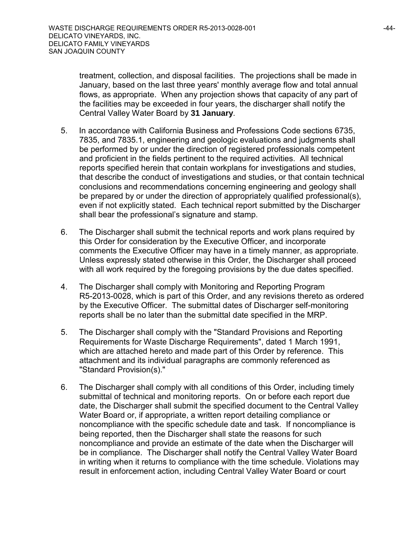treatment, collection, and disposal facilities. The projections shall be made in January, based on the last three years' monthly average flow and total annual flows, as appropriate. When any projection shows that capacity of any part of the facilities may be exceeded in four years, the discharger shall notify the Central Valley Water Board by **31 January**.

- 5. In accordance with California Business and Professions Code sections 6735, 7835, and 7835.1, engineering and geologic evaluations and judgments shall be performed by or under the direction of registered professionals competent and proficient in the fields pertinent to the required activities. All technical reports specified herein that contain workplans for investigations and studies, that describe the conduct of investigations and studies, or that contain technical conclusions and recommendations concerning engineering and geology shall be prepared by or under the direction of appropriately qualified professional(s), even if not explicitly stated. Each technical report submitted by the Discharger shall bear the professional's signature and stamp.
- 6. The Discharger shall submit the technical reports and work plans required by this Order for consideration by the Executive Officer, and incorporate comments the Executive Officer may have in a timely manner, as appropriate. Unless expressly stated otherwise in this Order, the Discharger shall proceed with all work required by the foregoing provisions by the due dates specified.
- 4. The Discharger shall comply with Monitoring and Reporting Program R5-2013-0028, which is part of this Order, and any revisions thereto as ordered by the Executive Officer. The submittal dates of Discharger self-monitoring reports shall be no later than the submittal date specified in the MRP.
- 5. The Discharger shall comply with the "Standard Provisions and Reporting Requirements for Waste Discharge Requirements", dated 1 March 1991, which are attached hereto and made part of this Order by reference. This attachment and its individual paragraphs are commonly referenced as "Standard Provision(s)."
- 6. The Discharger shall comply with all conditions of this Order, including timely submittal of technical and monitoring reports. On or before each report due date, the Discharger shall submit the specified document to the Central Valley Water Board or, if appropriate, a written report detailing compliance or noncompliance with the specific schedule date and task. If noncompliance is being reported, then the Discharger shall state the reasons for such noncompliance and provide an estimate of the date when the Discharger will be in compliance. The Discharger shall notify the Central Valley Water Board in writing when it returns to compliance with the time schedule. Violations may result in enforcement action, including Central Valley Water Board or court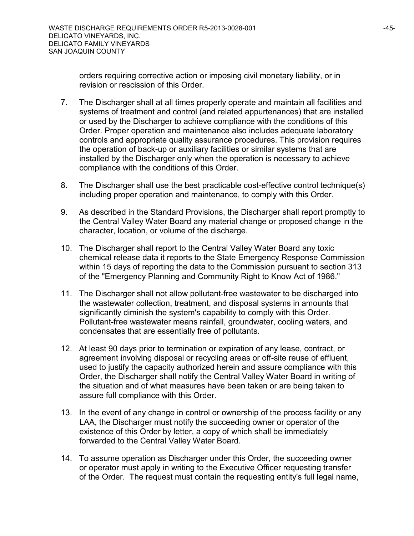orders requiring corrective action or imposing civil monetary liability, or in revision or rescission of this Order.

- 7. The Discharger shall at all times properly operate and maintain all facilities and systems of treatment and control (and related appurtenances) that are installed or used by the Discharger to achieve compliance with the conditions of this Order. Proper operation and maintenance also includes adequate laboratory controls and appropriate quality assurance procedures. This provision requires the operation of back-up or auxiliary facilities or similar systems that are installed by the Discharger only when the operation is necessary to achieve compliance with the conditions of this Order.
- 8. The Discharger shall use the best practicable cost-effective control technique(s) including proper operation and maintenance, to comply with this Order.
- 9. As described in the Standard Provisions, the Discharger shall report promptly to the Central Valley Water Board any material change or proposed change in the character, location, or volume of the discharge.
- 10. The Discharger shall report to the Central Valley Water Board any toxic chemical release data it reports to the State Emergency Response Commission within 15 days of reporting the data to the Commission pursuant to section 313 of the "Emergency Planning and Community Right to Know Act of 1986."
- 11. The Discharger shall not allow pollutant-free wastewater to be discharged into the wastewater collection, treatment, and disposal systems in amounts that significantly diminish the system's capability to comply with this Order. Pollutant-free wastewater means rainfall, groundwater, cooling waters, and condensates that are essentially free of pollutants.
- 12. At least 90 days prior to termination or expiration of any lease, contract, or agreement involving disposal or recycling areas or off-site reuse of effluent, used to justify the capacity authorized herein and assure compliance with this Order, the Discharger shall notify the Central Valley Water Board in writing of the situation and of what measures have been taken or are being taken to assure full compliance with this Order.
- 13. In the event of any change in control or ownership of the process facility or any LAA, the Discharger must notify the succeeding owner or operator of the existence of this Order by letter, a copy of which shall be immediately forwarded to the Central Valley Water Board.
- 14. To assume operation as Discharger under this Order, the succeeding owner or operator must apply in writing to the Executive Officer requesting transfer of the Order. The request must contain the requesting entity's full legal name,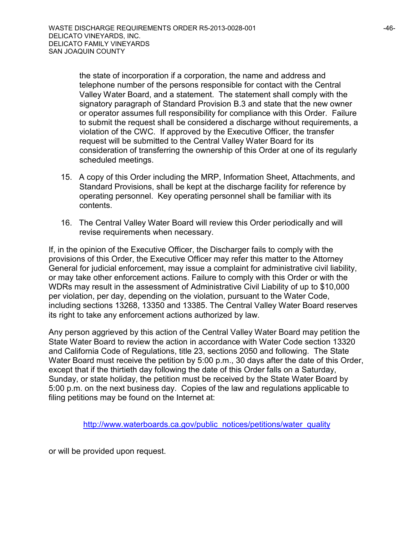the state of incorporation if a corporation, the name and address and telephone number of the persons responsible for contact with the Central Valley Water Board, and a statement. The statement shall comply with the signatory paragraph of Standard Provision B.3 and state that the new owner or operator assumes full responsibility for compliance with this Order. Failure to submit the request shall be considered a discharge without requirements, a violation of the CWC. If approved by the Executive Officer, the transfer request will be submitted to the Central Valley Water Board for its consideration of transferring the ownership of this Order at one of its regularly scheduled meetings.

- 15. A copy of this Order including the MRP, Information Sheet, Attachments, and Standard Provisions, shall be kept at the discharge facility for reference by operating personnel. Key operating personnel shall be familiar with its contents.
- 16. The Central Valley Water Board will review this Order periodically and will revise requirements when necessary.

If, in the opinion of the Executive Officer, the Discharger fails to comply with the provisions of this Order, the Executive Officer may refer this matter to the Attorney General for judicial enforcement, may issue a complaint for administrative civil liability, or may take other enforcement actions. Failure to comply with this Order or with the WDRs may result in the assessment of Administrative Civil Liability of up to \$10,000 per violation, per day, depending on the violation, pursuant to the Water Code, including sections 13268, 13350 and 13385. The Central Valley Water Board reserves its right to take any enforcement actions authorized by law.

Any person aggrieved by this action of the Central Valley Water Board may petition the State Water Board to review the action in accordance with Water Code section 13320 and California Code of Regulations, title 23, sections 2050 and following. The State Water Board must receive the petition by 5:00 p.m., 30 days after the date of this Order, except that if the thirtieth day following the date of this Order falls on a Saturday, Sunday, or state holiday, the petition must be received by the State Water Board by 5:00 p.m. on the next business day. Copies of the law and regulations applicable to filing petitions may be found on the Internet at:

[http://www.waterboards.ca.gov/public\\_notices/petitions/water\\_quality](http://www.waterboards.ca.gov/public_notices/petitions/water_quality)

or will be provided upon request.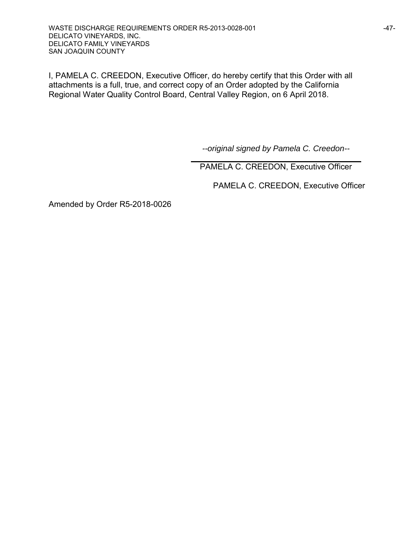I, PAMELA C. CREEDON, Executive Officer, do hereby certify that this Order with all attachments is a full, true, and correct copy of an Order adopted by the California Regional Water Quality Control Board, Central Valley Region, on 6 April 2018.

*--original signed by Pamela C. Creedon--*

PAMELA C. CREEDON, Executive Officer

PAMELA C. CREEDON, Executive Officer

Amended by Order R5-2018-0026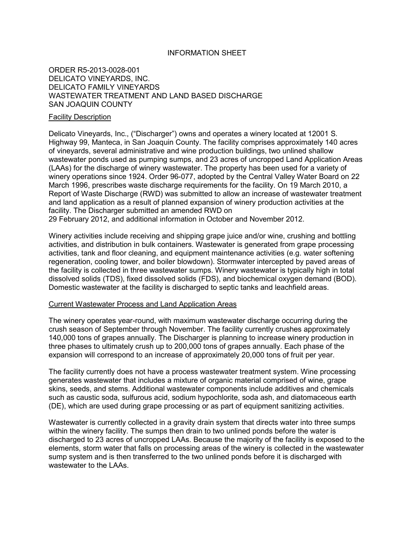#### INFORMATION SHEET

#### ORDER R5-2013-0028-001 DELICATO VINEYARDS, INC. DELICATO FAMILY VINEYARDS WASTEWATER TREATMENT AND LAND BASED DISCHARGE SAN JOAQUIN COUNTY

#### Facility Description

Delicato Vineyards, Inc., ("Discharger") owns and operates a winery located at 12001 S. Highway 99, Manteca, in San Joaquin County. The facility comprises approximately 140 acres of vineyards, several administrative and wine production buildings, two unlined shallow wastewater ponds used as pumping sumps, and 23 acres of uncropped Land Application Areas (LAAs) for the discharge of winery wastewater. The property has been used for a variety of winery operations since 1924. Order 96-077, adopted by the Central Valley Water Board on 22 March 1996, prescribes waste discharge requirements for the facility. On 19 March 2010, a Report of Waste Discharge (RWD) was submitted to allow an increase of wastewater treatment and land application as a result of planned expansion of winery production activities at the facility. The Discharger submitted an amended RWD on 29 February 2012, and additional information in October and November 2012.

Winery activities include receiving and shipping grape juice and/or wine, crushing and bottling activities, and distribution in bulk containers. Wastewater is generated from grape processing activities, tank and floor cleaning, and equipment maintenance activities (e.g. water softening regeneration, cooling tower, and boiler blowdown). Stormwater intercepted by paved areas of the facility is collected in three wastewater sumps. Winery wastewater is typically high in total dissolved solids (TDS), fixed dissolved solids (FDS), and biochemical oxygen demand (BOD). Domestic wastewater at the facility is discharged to septic tanks and leachfield areas.

#### Current Wastewater Process and Land Application Areas

The winery operates year-round, with maximum wastewater discharge occurring during the crush season of September through November. The facility currently crushes approximately 140,000 tons of grapes annually. The Discharger is planning to increase winery production in three phases to ultimately crush up to 200,000 tons of grapes annually. Each phase of the expansion will correspond to an increase of approximately 20,000 tons of fruit per year.

The facility currently does not have a process wastewater treatment system. Wine processing generates wastewater that includes a mixture of organic material comprised of wine, grape skins, seeds, and stems. Additional wastewater components include additives and chemicals such as caustic soda, sulfurous acid, sodium hypochlorite, soda ash, and diatomaceous earth (DE), which are used during grape processing or as part of equipment sanitizing activities.

Wastewater is currently collected in a gravity drain system that directs water into three sumps within the winery facility. The sumps then drain to two unlined ponds before the water is discharged to 23 acres of uncropped LAAs. Because the majority of the facility is exposed to the elements, storm water that falls on processing areas of the winery is collected in the wastewater sump system and is then transferred to the two unlined ponds before it is discharged with wastewater to the LAAs.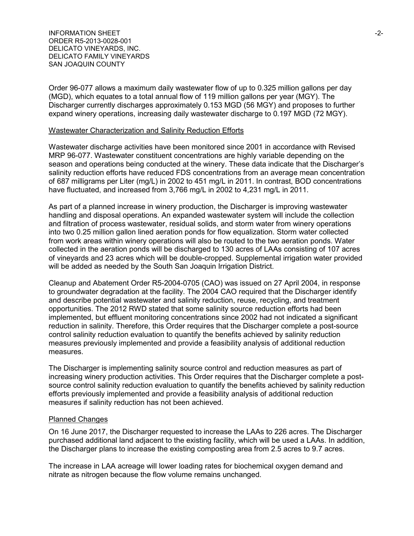INFORMATION SHEET  $\sim$ ORDER R5-2013-0028-001 DELICATO VINEYARDS, INC. DELICATO FAMILY VINEYARDS SAN JOAQUIN COUNTY

Order 96-077 allows a maximum daily wastewater flow of up to 0.325 million gallons per day (MGD), which equates to a total annual flow of 119 million gallons per year (MGY). The Discharger currently discharges approximately 0.153 MGD (56 MGY) and proposes to further expand winery operations, increasing daily wastewater discharge to 0.197 MGD (72 MGY).

#### Wastewater Characterization and Salinity Reduction Efforts

Wastewater discharge activities have been monitored since 2001 in accordance with Revised MRP 96-077. Wastewater constituent concentrations are highly variable depending on the season and operations being conducted at the winery. These data indicate that the Discharger's salinity reduction efforts have reduced FDS concentrations from an average mean concentration of 687 milligrams per Liter (mg/L) in 2002 to 451 mg/L in 2011. In contrast, BOD concentrations have fluctuated, and increased from 3,766 mg/L in 2002 to 4,231 mg/L in 2011.

As part of a planned increase in winery production, the Discharger is improving wastewater handling and disposal operations. An expanded wastewater system will include the collection and filtration of process wastewater, residual solids, and storm water from winery operations into two 0.25 million gallon lined aeration ponds for flow equalization. Storm water collected from work areas within winery operations will also be routed to the two aeration ponds. Water collected in the aeration ponds will be discharged to 130 acres of LAAs consisting of 107 acres of vineyards and 23 acres which will be double-cropped. Supplemental irrigation water provided will be added as needed by the South San Joaquin Irrigation District.

Cleanup and Abatement Order R5-2004-0705 (CAO) was issued on 27 April 2004, in response to groundwater degradation at the facility. The 2004 CAO required that the Discharger identify and describe potential wastewater and salinity reduction, reuse, recycling, and treatment opportunities. The 2012 RWD stated that some salinity source reduction efforts had been implemented, but effluent monitoring concentrations since 2002 had not indicated a significant reduction in salinity. Therefore, this Order requires that the Discharger complete a post-source control salinity reduction evaluation to quantify the benefits achieved by salinity reduction measures previously implemented and provide a feasibility analysis of additional reduction measures.

The Discharger is implementing salinity source control and reduction measures as part of increasing winery production activities. This Order requires that the Discharger complete a postsource control salinity reduction evaluation to quantify the benefits achieved by salinity reduction efforts previously implemented and provide a feasibility analysis of additional reduction measures if salinity reduction has not been achieved.

#### Planned Changes

On 16 June 2017, the Discharger requested to increase the LAAs to 226 acres. The Discharger purchased additional land adjacent to the existing facility, which will be used a LAAs. In addition, the Discharger plans to increase the existing composting area from 2.5 acres to 9.7 acres.

The increase in LAA acreage will lower loading rates for biochemical oxygen demand and nitrate as nitrogen because the flow volume remains unchanged.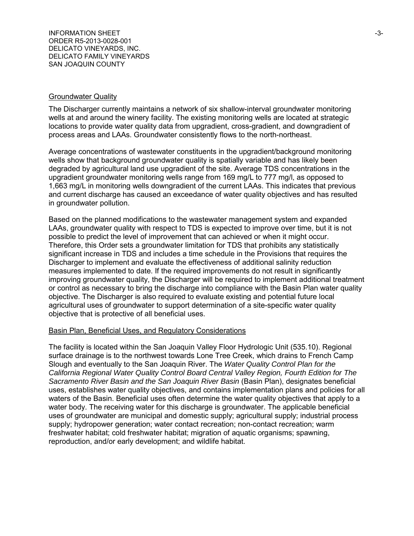#### Groundwater Quality

The Discharger currently maintains a network of six shallow-interval groundwater monitoring wells at and around the winery facility. The existing monitoring wells are located at strategic locations to provide water quality data from upgradient, cross-gradient, and downgradient of process areas and LAAs. Groundwater consistently flows to the north-northeast.

Average concentrations of wastewater constituents in the upgradient/background monitoring wells show that background groundwater quality is spatially variable and has likely been degraded by agricultural land use upgradient of the site. Average TDS concentrations in the upgradient groundwater monitoring wells range from 169 mg/L to 777 mg/l, as opposed to 1,663 mg/L in monitoring wells downgradient of the current LAAs. This indicates that previous and current discharge has caused an exceedance of water quality objectives and has resulted in groundwater pollution.

Based on the planned modifications to the wastewater management system and expanded LAAs, groundwater quality with respect to TDS is expected to improve over time, but it is not possible to predict the level of improvement that can achieved or when it might occur. Therefore, this Order sets a groundwater limitation for TDS that prohibits any statistically significant increase in TDS and includes a time schedule in the Provisions that requires the Discharger to implement and evaluate the effectiveness of additional salinity reduction measures implemented to date. If the required improvements do not result in significantly improving groundwater quality, the Discharger will be required to implement additional treatment or control as necessary to bring the discharge into compliance with the Basin Plan water quality objective. The Discharger is also required to evaluate existing and potential future local agricultural uses of groundwater to support determination of a site-specific water quality objective that is protective of all beneficial uses.

#### Basin Plan, Beneficial Uses, and Regulatory Considerations

The facility is located within the San Joaquin Valley Floor Hydrologic Unit (535.10). Regional surface drainage is to the northwest towards Lone Tree Creek, which drains to French Camp Slough and eventually to the San Joaquin River. The *Water Quality Control Plan for the California Regional Water Quality Control Board Central Valley Region, Fourth Edition for The Sacramento River Basin and the San Joaquin River Basin* (Basin Plan), designates beneficial uses, establishes water quality objectives, and contains implementation plans and policies for all waters of the Basin. Beneficial uses often determine the water quality objectives that apply to a water body. The receiving water for this discharge is groundwater. The applicable beneficial uses of groundwater are municipal and domestic supply; agricultural supply; industrial process supply; hydropower generation; water contact recreation; non-contact recreation; warm freshwater habitat; cold freshwater habitat; migration of aquatic organisms; spawning, reproduction, and/or early development; and wildlife habitat.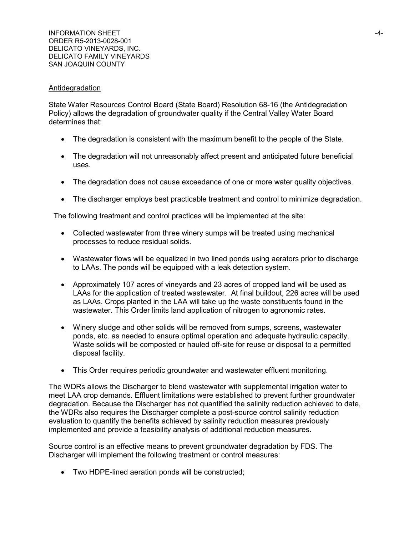#### Antidegradation

State Water Resources Control Board (State Board) Resolution 68-16 (the Antidegradation Policy) allows the degradation of groundwater quality if the Central Valley Water Board determines that:

- The degradation is consistent with the maximum benefit to the people of the State.
- The degradation will not unreasonably affect present and anticipated future beneficial uses.
- The degradation does not cause exceedance of one or more water quality objectives.
- The discharger employs best practicable treatment and control to minimize degradation.

The following treatment and control practices will be implemented at the site:

- Collected wastewater from three winery sumps will be treated using mechanical processes to reduce residual solids.
- Wastewater flows will be equalized in two lined ponds using aerators prior to discharge to LAAs. The ponds will be equipped with a leak detection system.
- Approximately 107 acres of vineyards and 23 acres of cropped land will be used as LAAs for the application of treated wastewater. At final buildout, 226 acres will be used as LAAs. Crops planted in the LAA will take up the waste constituents found in the wastewater. This Order limits land application of nitrogen to agronomic rates.
- Winery sludge and other solids will be removed from sumps, screens, wastewater ponds, etc. as needed to ensure optimal operation and adequate hydraulic capacity. Waste solids will be composted or hauled off-site for reuse or disposal to a permitted disposal facility.
- This Order requires periodic groundwater and wastewater effluent monitoring.

The WDRs allows the Discharger to blend wastewater with supplemental irrigation water to meet LAA crop demands. Effluent limitations were established to prevent further groundwater degradation. Because the Discharger has not quantified the salinity reduction achieved to date, the WDRs also requires the Discharger complete a post-source control salinity reduction evaluation to quantify the benefits achieved by salinity reduction measures previously implemented and provide a feasibility analysis of additional reduction measures.

Source control is an effective means to prevent groundwater degradation by FDS. The Discharger will implement the following treatment or control measures:

• Two HDPE-lined aeration ponds will be constructed;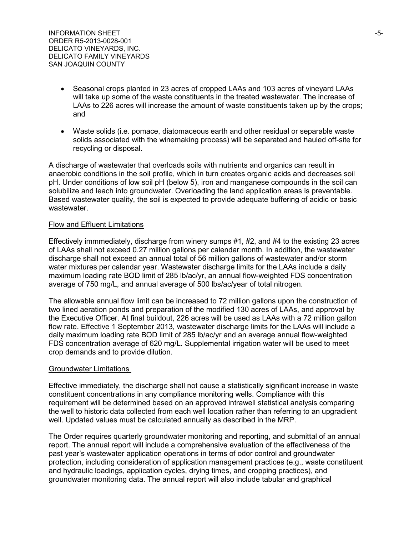- Seasonal crops planted in 23 acres of cropped LAAs and 103 acres of vineyard LAAs will take up some of the waste constituents in the treated wastewater. The increase of LAAs to 226 acres will increase the amount of waste constituents taken up by the crops; and
- Waste solids (i.e. pomace, diatomaceous earth and other residual or separable waste solids associated with the winemaking process) will be separated and hauled off-site for recycling or disposal.

A discharge of wastewater that overloads soils with nutrients and organics can result in anaerobic conditions in the soil profile, which in turn creates organic acids and decreases soil pH. Under conditions of low soil pH (below 5), iron and manganese compounds in the soil can solubilize and leach into groundwater. Overloading the land application areas is preventable. Based wastewater quality, the soil is expected to provide adequate buffering of acidic or basic wastewater.

#### Flow and Effluent Limitations

Effectively immmediately, discharge from winery sumps #1, #2, and #4 to the existing 23 acres of LAAs shall not exceed 0.27 million gallons per calendar month. In addition, the wastewater discharge shall not exceed an annual total of 56 million gallons of wastewater and/or storm water mixtures per calendar year. Wastewater discharge limits for the LAAs include a daily maximum loading rate BOD limit of 285 lb/ac/yr, an annual flow-weighted FDS concentration average of 750 mg/L, and annual average of 500 lbs/ac/year of total nitrogen.

The allowable annual flow limit can be increased to 72 million gallons upon the construction of two lined aeration ponds and preparation of the modified 130 acres of LAAs, and approval by the Executive Officer. At final buildout, 226 acres will be used as LAAs with a 72 million gallon flow rate. Effective 1 September 2013, wastewater discharge limits for the LAAs will include a daily maximum loading rate BOD limit of 285 lb/ac/yr and an average annual flow-weighted FDS concentration average of 620 mg/L. Supplemental irrigation water will be used to meet crop demands and to provide dilution.

#### Groundwater Limitations

Effective immediately, the discharge shall not cause a statistically significant increase in waste constituent concentrations in any compliance monitoring wells. Compliance with this requirement will be determined based on an approved intrawell statistical analysis comparing the well to historic data collected from each well location rather than referring to an upgradient well. Updated values must be calculated annually as described in the MRP.

The Order requires quarterly groundwater monitoring and reporting, and submittal of an annual report. The annual report will include a comprehensive evaluation of the effectiveness of the past year's wastewater application operations in terms of odor control and groundwater protection, including consideration of application management practices (e.g., waste constituent and hydraulic loadings, application cycles, drying times, and cropping practices), and groundwater monitoring data. The annual report will also include tabular and graphical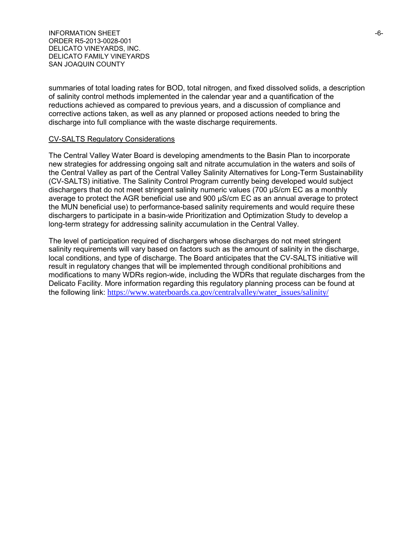INFORMATION SHEET  $-6-$ ORDER R5-2013-0028-001 DELICATO VINEYARDS, INC. DELICATO FAMILY VINEYARDS SAN JOAQUIN COUNTY

summaries of total loading rates for BOD, total nitrogen, and fixed dissolved solids, a description of salinity control methods implemented in the calendar year and a quantification of the reductions achieved as compared to previous years, and a discussion of compliance and corrective actions taken, as well as any planned or proposed actions needed to bring the discharge into full compliance with the waste discharge requirements.

#### CV-SALTS Regulatory Considerations

The Central Valley Water Board is developing amendments to the Basin Plan to incorporate new strategies for addressing ongoing salt and nitrate accumulation in the waters and soils of the Central Valley as part of the Central Valley Salinity Alternatives for Long-Term Sustainability (CV-SALTS) initiative. The Salinity Control Program currently being developed would subject dischargers that do not meet stringent salinity numeric values (700 µS/cm EC as a monthly average to protect the AGR beneficial use and 900 µS/cm EC as an annual average to protect the MUN beneficial use) to performance-based salinity requirements and would require these dischargers to participate in a basin-wide Prioritization and Optimization Study to develop a long-term strategy for addressing salinity accumulation in the Central Valley.

The level of participation required of dischargers whose discharges do not meet stringent salinity requirements will vary based on factors such as the amount of salinity in the discharge, local conditions, and type of discharge. The Board anticipates that the CV-SALTS initiative will result in regulatory changes that will be implemented through conditional prohibitions and modifications to many WDRs region-wide, including the WDRs that regulate discharges from the Delicato Facility. More information regarding this regulatory planning process can be found at the following link: [https://www.waterboards.ca.gov/centralvalley/water\\_issues/salinity/](https://www.waterboards.ca.gov/centralvalley/water_issues/salinity/)